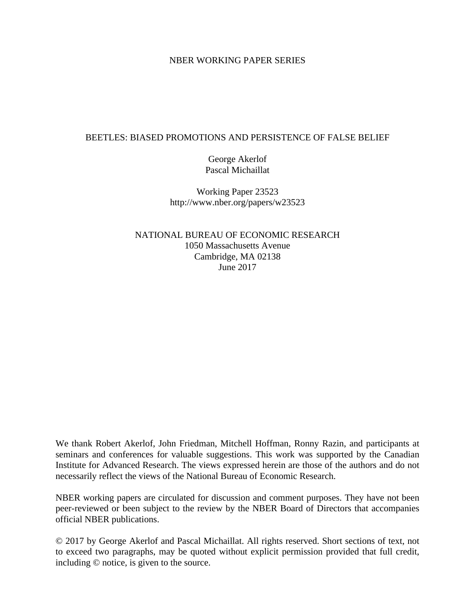#### NBER WORKING PAPER SERIES

#### BEETLES: BIASED PROMOTIONS AND PERSISTENCE OF FALSE BELIEF

George Akerlof Pascal Michaillat

Working Paper 23523 http://www.nber.org/papers/w23523

NATIONAL BUREAU OF ECONOMIC RESEARCH 1050 Massachusetts Avenue Cambridge, MA 02138 June 2017

We thank Robert Akerlof, John Friedman, Mitchell Hoffman, Ronny Razin, and participants at seminars and conferences for valuable suggestions. This work was supported by the Canadian Institute for Advanced Research. The views expressed herein are those of the authors and do not necessarily reflect the views of the National Bureau of Economic Research.

NBER working papers are circulated for discussion and comment purposes. They have not been peer-reviewed or been subject to the review by the NBER Board of Directors that accompanies official NBER publications.

© 2017 by George Akerlof and Pascal Michaillat. All rights reserved. Short sections of text, not to exceed two paragraphs, may be quoted without explicit permission provided that full credit, including © notice, is given to the source.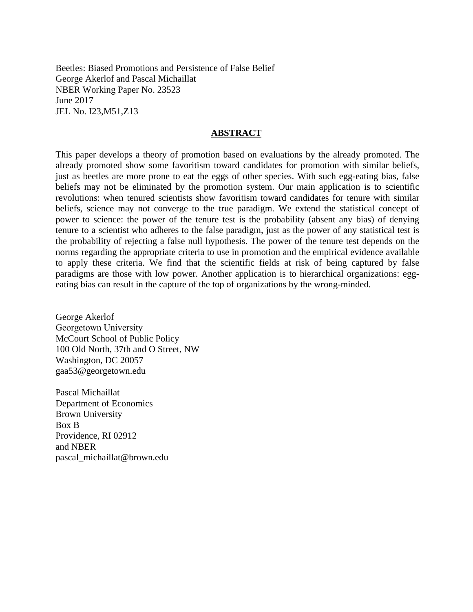Beetles: Biased Promotions and Persistence of False Belief George Akerlof and Pascal Michaillat NBER Working Paper No. 23523 June 2017 JEL No. I23,M51,Z13

#### **ABSTRACT**

This paper develops a theory of promotion based on evaluations by the already promoted. The already promoted show some favoritism toward candidates for promotion with similar beliefs, just as beetles are more prone to eat the eggs of other species. With such egg-eating bias, false beliefs may not be eliminated by the promotion system. Our main application is to scientific revolutions: when tenured scientists show favoritism toward candidates for tenure with similar beliefs, science may not converge to the true paradigm. We extend the statistical concept of power to science: the power of the tenure test is the probability (absent any bias) of denying tenure to a scientist who adheres to the false paradigm, just as the power of any statistical test is the probability of rejecting a false null hypothesis. The power of the tenure test depends on the norms regarding the appropriate criteria to use in promotion and the empirical evidence available to apply these criteria. We find that the scientific fields at risk of being captured by false paradigms are those with low power. Another application is to hierarchical organizations: eggeating bias can result in the capture of the top of organizations by the wrong-minded.

George Akerlof Georgetown University McCourt School of Public Policy 100 Old North, 37th and O Street, NW Washington, DC 20057 gaa53@georgetown.edu

Pascal Michaillat Department of Economics Brown University Box B Providence, RI 02912 and NBER pascal\_michaillat@brown.edu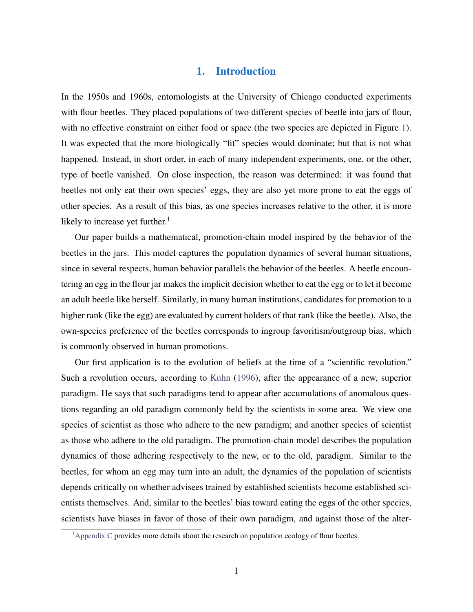## 1. Introduction

In the 1950s and 1960s, entomologists at the University of Chicago conducted experiments with flour beetles. They placed populations of two different species of beetle into jars of flour, with no effective constraint on either food or space (the two species are depicted in Figure [1\)](#page-3-0). It was expected that the more biologically "fit" species would dominate; but that is not what happened. Instead, in short order, in each of many independent experiments, one, or the other, type of beetle vanished. On close inspection, the reason was determined: it was found that beetles not only eat their own species' eggs, they are also yet more prone to eat the eggs of other species. As a result of this bias, as one species increases relative to the other, it is more likely to increase yet further. $<sup>1</sup>$ </sup>

Our paper builds a mathematical, promotion-chain model inspired by the behavior of the beetles in the jars. This model captures the population dynamics of several human situations, since in several respects, human behavior parallels the behavior of the beetles. A beetle encountering an egg in the flour jar makes the implicit decision whether to eat the egg or to let it become an adult beetle like herself. Similarly, in many human institutions, candidates for promotion to a higher rank (like the egg) are evaluated by current holders of that rank (like the beetle). Also, the own-species preference of the beetles corresponds to ingroup favoritism/outgroup bias, which is commonly observed in human promotions.

Our first application is to the evolution of beliefs at the time of a "scientific revolution." Such a revolution occurs, according to [Kuhn](#page-41-0) [\(1996\)](#page-41-0), after the appearance of a new, superior paradigm. He says that such paradigms tend to appear after accumulations of anomalous questions regarding an old paradigm commonly held by the scientists in some area. We view one species of scientist as those who adhere to the new paradigm; and another species of scientist as those who adhere to the old paradigm. The promotion-chain model describes the population dynamics of those adhering respectively to the new, or to the old, paradigm. Similar to the beetles, for whom an egg may turn into an adult, the dynamics of the population of scientists depends critically on whether advisees trained by established scientists become established scientists themselves. And, similar to the beetles' bias toward eating the eggs of the other species, scientists have biases in favor of those of their own paradigm, and against those of the alter-

<sup>&</sup>lt;sup>1</sup> [Appendix C](#page-55-0) provides more details about the research on population ecology of flour beetles.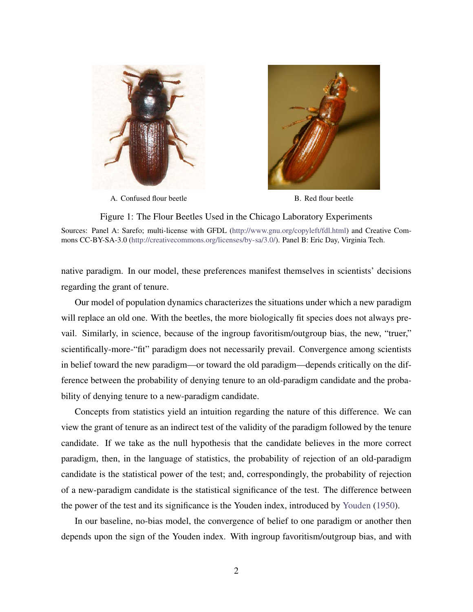

A. Confused flour beetle B. Red flour beetle



<span id="page-3-0"></span>Figure 1: The Flour Beetles Used in the Chicago Laboratory Experiments Sources: Panel A: Sarefo; multi-license with GFDL [\(http://www.gnu.org/copyleft/fdl.html\)](http://www.gnu.org/copyleft/fdl.html) and Creative Commons CC-BY-SA-3.0 [\(http://creativecommons.org/licenses/by-sa/3.0/\)](http://creativecommons.org/licenses/by-sa/3.0/). Panel B: Eric Day, Virginia Tech.

native paradigm. In our model, these preferences manifest themselves in scientists' decisions regarding the grant of tenure.

Our model of population dynamics characterizes the situations under which a new paradigm will replace an old one. With the beetles, the more biologically fit species does not always prevail. Similarly, in science, because of the ingroup favoritism/outgroup bias, the new, "truer," scientifically-more-"fit" paradigm does not necessarily prevail. Convergence among scientists in belief toward the new paradigm—or toward the old paradigm—depends critically on the difference between the probability of denying tenure to an old-paradigm candidate and the probability of denying tenure to a new-paradigm candidate.

Concepts from statistics yield an intuition regarding the nature of this difference. We can view the grant of tenure as an indirect test of the validity of the paradigm followed by the tenure candidate. If we take as the null hypothesis that the candidate believes in the more correct paradigm, then, in the language of statistics, the probability of rejection of an old-paradigm candidate is the statistical power of the test; and, correspondingly, the probability of rejection of a new-paradigm candidate is the statistical significance of the test. The difference between the power of the test and its significance is the Youden index, introduced by [Youden](#page-43-0) [\(1950\)](#page-43-0).

In our baseline, no-bias model, the convergence of belief to one paradigm or another then depends upon the sign of the Youden index. With ingroup favoritism/outgroup bias, and with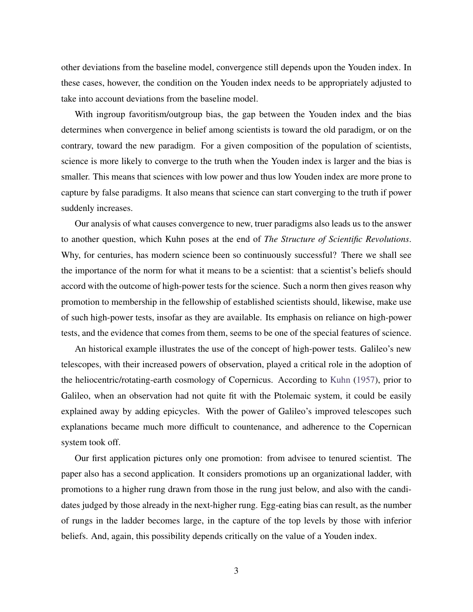other deviations from the baseline model, convergence still depends upon the Youden index. In these cases, however, the condition on the Youden index needs to be appropriately adjusted to take into account deviations from the baseline model.

With ingroup favoritism/outgroup bias, the gap between the Youden index and the bias determines when convergence in belief among scientists is toward the old paradigm, or on the contrary, toward the new paradigm. For a given composition of the population of scientists, science is more likely to converge to the truth when the Youden index is larger and the bias is smaller. This means that sciences with low power and thus low Youden index are more prone to capture by false paradigms. It also means that science can start converging to the truth if power suddenly increases.

Our analysis of what causes convergence to new, truer paradigms also leads us to the answer to another question, which Kuhn poses at the end of *The Structure of Scientific Revolutions*. Why, for centuries, has modern science been so continuously successful? There we shall see the importance of the norm for what it means to be a scientist: that a scientist's beliefs should accord with the outcome of high-power tests for the science. Such a norm then gives reason why promotion to membership in the fellowship of established scientists should, likewise, make use of such high-power tests, insofar as they are available. Its emphasis on reliance on high-power tests, and the evidence that comes from them, seems to be one of the special features of science.

An historical example illustrates the use of the concept of high-power tests. Galileo's new telescopes, with their increased powers of observation, played a critical role in the adoption of the heliocentric/rotating-earth cosmology of Copernicus. According to [Kuhn](#page-41-1) [\(1957\)](#page-41-1), prior to Galileo, when an observation had not quite fit with the Ptolemaic system, it could be easily explained away by adding epicycles. With the power of Galileo's improved telescopes such explanations became much more difficult to countenance, and adherence to the Copernican system took off.

Our first application pictures only one promotion: from advisee to tenured scientist. The paper also has a second application. It considers promotions up an organizational ladder, with promotions to a higher rung drawn from those in the rung just below, and also with the candidates judged by those already in the next-higher rung. Egg-eating bias can result, as the number of rungs in the ladder becomes large, in the capture of the top levels by those with inferior beliefs. And, again, this possibility depends critically on the value of a Youden index.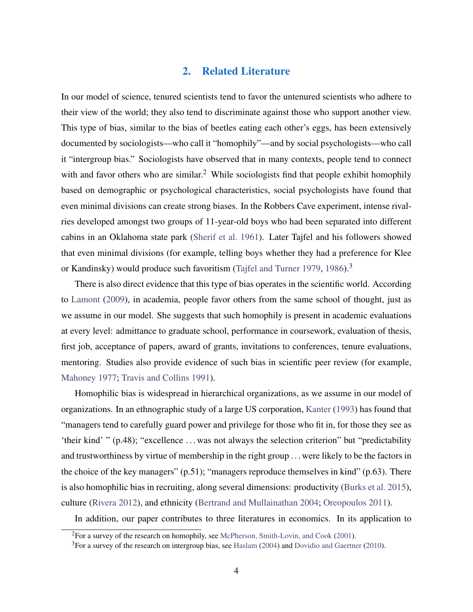## 2. Related Literature

In our model of science, tenured scientists tend to favor the untenured scientists who adhere to their view of the world; they also tend to discriminate against those who support another view. This type of bias, similar to the bias of beetles eating each other's eggs, has been extensively documented by sociologists—who call it "homophily"—and by social psychologists—who call it "intergroup bias." Sociologists have observed that in many contexts, people tend to connect with and favor others who are similar.<sup>2</sup> While sociologists find that people exhibit homophily based on demographic or psychological characteristics, social psychologists have found that even minimal divisions can create strong biases. In the Robbers Cave experiment, intense rivalries developed amongst two groups of 11-year-old boys who had been separated into different cabins in an Oklahoma state park [\(Sherif et al. 1961\)](#page-42-0). Later Tajfel and his followers showed that even minimal divisions (for example, telling boys whether they had a preference for Klee or Kandinsky) would produce such favoritism [\(Tajfel and Turner 1979,](#page-43-1) [1986\)](#page-43-2).<sup>3</sup>

There is also direct evidence that this type of bias operates in the scientific world. According to [Lamont](#page-41-2) [\(2009\)](#page-41-2), in academia, people favor others from the same school of thought, just as we assume in our model. She suggests that such homophily is present in academic evaluations at every level: admittance to graduate school, performance in coursework, evaluation of thesis, first job, acceptance of papers, award of grants, invitations to conferences, tenure evaluations, mentoring. Studies also provide evidence of such bias in scientific peer review (for example, [Mahoney 1977;](#page-42-1) [Travis and Collins 1991\)](#page-43-3).

Homophilic bias is widespread in hierarchical organizations, as we assume in our model of organizations. In an ethnographic study of a large US corporation, [Kanter](#page-41-3) [\(1993\)](#page-41-3) has found that "managers tend to carefully guard power and privilege for those who fit in, for those they see as 'their kind' " (p.48); "excellence . . . was not always the selection criterion" but "predictability and trustworthiness by virtue of membership in the right group . . . were likely to be the factors in the choice of the key managers" (p.51); "managers reproduce themselves in kind" (p.63). There is also homophilic bias in recruiting, along several dimensions: productivity [\(Burks et al. 2015\)](#page-41-4), culture [\(Rivera 2012\)](#page-42-2), and ethnicity [\(Bertrand and Mullainathan 2004;](#page-40-0) [Oreopoulos 2011\)](#page-42-3).

In addition, our paper contributes to three literatures in economics. In its application to

<sup>2</sup>For a survey of the research on homophily, see [McPherson, Smith-Lovin, and Cook](#page-42-4) [\(2001\)](#page-42-4).

<sup>&</sup>lt;sup>3</sup>For a survey of the research on intergroup bias, see [Haslam](#page-41-5) [\(2004\)](#page-41-5) and [Dovidio and Gaertner](#page-41-6) [\(2010\)](#page-41-6).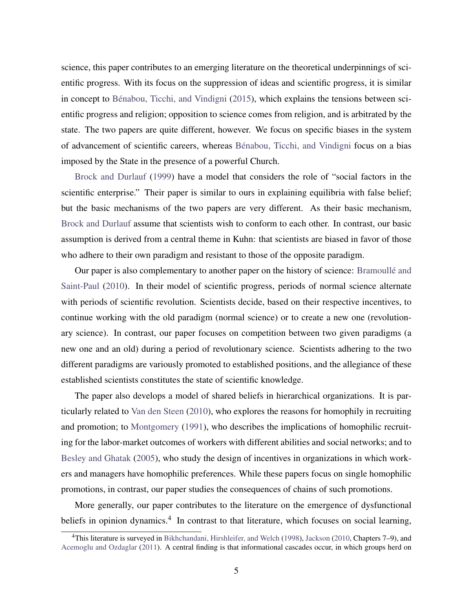science, this paper contributes to an emerging literature on the theoretical underpinnings of scientific progress. With its focus on the suppression of ideas and scientific progress, it is similar in concept to Bénabou, Ticchi, and Vindigni [\(2015\)](#page-40-1), which explains the tensions between scientific progress and religion; opposition to science comes from religion, and is arbitrated by the state. The two papers are quite different, however. We focus on specific biases in the system of advancement of scientific careers, whereas Bénabou, Ticchi, and Vindigni focus on a bias imposed by the State in the presence of a powerful Church.

[Brock and Durlauf](#page-40-2) [\(1999\)](#page-40-2) have a model that considers the role of "social factors in the scientific enterprise." Their paper is similar to ours in explaining equilibria with false belief; but the basic mechanisms of the two papers are very different. As their basic mechanism, [Brock and Durlauf](#page-40-2) assume that scientists wish to conform to each other. In contrast, our basic assumption is derived from a central theme in Kuhn: that scientists are biased in favor of those who adhere to their own paradigm and resistant to those of the opposite paradigm.

Our paper is also complementary to another paper on the history of science: [Bramoulle and](#page-40-3) ´ [Saint-Paul](#page-40-3) [\(2010\)](#page-40-3). In their model of scientific progress, periods of normal science alternate with periods of scientific revolution. Scientists decide, based on their respective incentives, to continue working with the old paradigm (normal science) or to create a new one (revolutionary science). In contrast, our paper focuses on competition between two given paradigms (a new one and an old) during a period of revolutionary science. Scientists adhering to the two different paradigms are variously promoted to established positions, and the allegiance of these established scientists constitutes the state of scientific knowledge.

The paper also develops a model of shared beliefs in hierarchical organizations. It is particularly related to [Van den Steen](#page-43-4) [\(2010\)](#page-43-4), who explores the reasons for homophily in recruiting and promotion; to [Montgomery](#page-42-5) [\(1991\)](#page-42-5), who describes the implications of homophilic recruiting for the labor-market outcomes of workers with different abilities and social networks; and to [Besley and Ghatak](#page-40-4) [\(2005\)](#page-40-4), who study the design of incentives in organizations in which workers and managers have homophilic preferences. While these papers focus on single homophilic promotions, in contrast, our paper studies the consequences of chains of such promotions.

More generally, our paper contributes to the literature on the emergence of dysfunctional beliefs in opinion dynamics.<sup>4</sup> In contrast to that literature, which focuses on social learning,

<sup>4</sup>This literature is surveyed in [Bikhchandani, Hirshleifer, and Welch](#page-40-5) [\(1998\)](#page-40-5), [Jackson](#page-41-7) [\(2010,](#page-41-7) Chapters 7–9), and [Acemoglu and Ozdaglar](#page-40-6) [\(2011\)](#page-40-6). A central finding is that informational cascades occur, in which groups herd on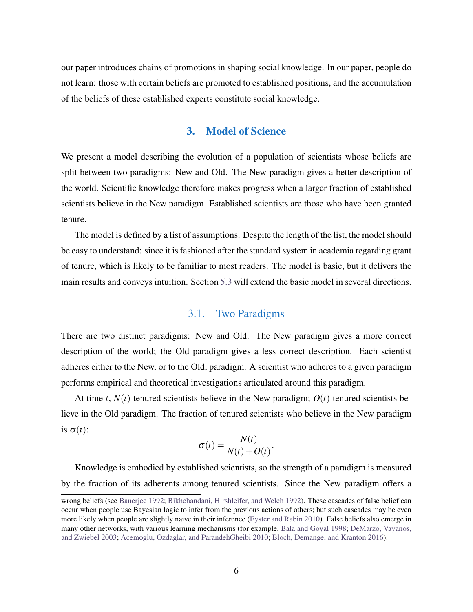our paper introduces chains of promotions in shaping social knowledge. In our paper, people do not learn: those with certain beliefs are promoted to established positions, and the accumulation of the beliefs of these established experts constitute social knowledge.

#### 3. Model of Science

We present a model describing the evolution of a population of scientists whose beliefs are split between two paradigms: New and Old. The New paradigm gives a better description of the world. Scientific knowledge therefore makes progress when a larger fraction of established scientists believe in the New paradigm. Established scientists are those who have been granted tenure.

The model is defined by a list of assumptions. Despite the length of the list, the model should be easy to understand: since it is fashioned after the standard system in academia regarding grant of tenure, which is likely to be familiar to most readers. The model is basic, but it delivers the main results and conveys intuition. Section [5.3](#page-19-0) will extend the basic model in several directions.

#### 3.1. Two Paradigms

There are two distinct paradigms: New and Old. The New paradigm gives a more correct description of the world; the Old paradigm gives a less correct description. Each scientist adheres either to the New, or to the Old, paradigm. A scientist who adheres to a given paradigm performs empirical and theoretical investigations articulated around this paradigm.

At time *t*,  $N(t)$  tenured scientists believe in the New paradigm;  $O(t)$  tenured scientists believe in the Old paradigm. The fraction of tenured scientists who believe in the New paradigm is  $\sigma(t)$ :

$$
\sigma(t) = \frac{N(t)}{N(t) + O(t)}.
$$

Knowledge is embodied by established scientists, so the strength of a paradigm is measured by the fraction of its adherents among tenured scientists. Since the New paradigm offers a

wrong beliefs (see [Banerjee 1992;](#page-40-7) [Bikhchandani, Hirshleifer, and Welch 1992\)](#page-40-8). These cascades of false belief can occur when people use Bayesian logic to infer from the previous actions of others; but such cascades may be even more likely when people are slightly naive in their inference [\(Eyster and Rabin 2010\)](#page-41-8). False beliefs also emerge in many other networks, with various learning mechanisms (for example, [Bala and Goyal 1998;](#page-40-9) [DeMarzo, Vayanos,](#page-41-9) [and Zwiebel 2003;](#page-41-9) [Acemoglu, Ozdaglar, and ParandehGheibi 2010;](#page-40-10) [Bloch, Demange, and Kranton 2016\)](#page-40-11).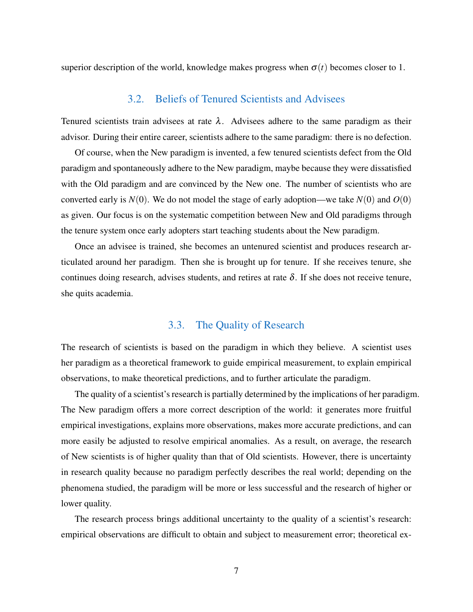superior description of the world, knowledge makes progress when  $\sigma(t)$  becomes closer to 1.

## 3.2. Beliefs of Tenured Scientists and Advisees

Tenured scientists train advisees at rate  $\lambda$ . Advisees adhere to the same paradigm as their advisor. During their entire career, scientists adhere to the same paradigm: there is no defection.

Of course, when the New paradigm is invented, a few tenured scientists defect from the Old paradigm and spontaneously adhere to the New paradigm, maybe because they were dissatisfied with the Old paradigm and are convinced by the New one. The number of scientists who are converted early is  $N(0)$ . We do not model the stage of early adoption—we take  $N(0)$  and  $O(0)$ as given. Our focus is on the systematic competition between New and Old paradigms through the tenure system once early adopters start teaching students about the New paradigm.

Once an advisee is trained, she becomes an untenured scientist and produces research articulated around her paradigm. Then she is brought up for tenure. If she receives tenure, she continues doing research, advises students, and retires at rate  $\delta$ . If she does not receive tenure, she quits academia.

## 3.3. The Quality of Research

The research of scientists is based on the paradigm in which they believe. A scientist uses her paradigm as a theoretical framework to guide empirical measurement, to explain empirical observations, to make theoretical predictions, and to further articulate the paradigm.

The quality of a scientist's research is partially determined by the implications of her paradigm. The New paradigm offers a more correct description of the world: it generates more fruitful empirical investigations, explains more observations, makes more accurate predictions, and can more easily be adjusted to resolve empirical anomalies. As a result, on average, the research of New scientists is of higher quality than that of Old scientists. However, there is uncertainty in research quality because no paradigm perfectly describes the real world; depending on the phenomena studied, the paradigm will be more or less successful and the research of higher or lower quality.

The research process brings additional uncertainty to the quality of a scientist's research: empirical observations are difficult to obtain and subject to measurement error; theoretical ex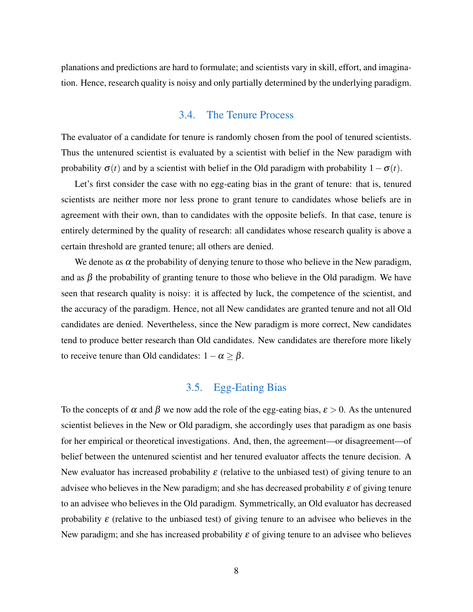planations and predictions are hard to formulate; and scientists vary in skill, effort, and imagination. Hence, research quality is noisy and only partially determined by the underlying paradigm.

### 3.4. The Tenure Process

The evaluator of a candidate for tenure is randomly chosen from the pool of tenured scientists. Thus the untenured scientist is evaluated by a scientist with belief in the New paradigm with probability  $\sigma(t)$  and by a scientist with belief in the Old paradigm with probability  $1-\sigma(t)$ .

Let's first consider the case with no egg-eating bias in the grant of tenure: that is, tenured scientists are neither more nor less prone to grant tenure to candidates whose beliefs are in agreement with their own, than to candidates with the opposite beliefs. In that case, tenure is entirely determined by the quality of research: all candidates whose research quality is above a certain threshold are granted tenure; all others are denied.

We denote as  $\alpha$  the probability of denying tenure to those who believe in the New paradigm, and as  $\beta$  the probability of granting tenure to those who believe in the Old paradigm. We have seen that research quality is noisy: it is affected by luck, the competence of the scientist, and the accuracy of the paradigm. Hence, not all New candidates are granted tenure and not all Old candidates are denied. Nevertheless, since the New paradigm is more correct, New candidates tend to produce better research than Old candidates. New candidates are therefore more likely to receive tenure than Old candidates:  $1-\alpha \geq \beta$ .

# 3.5. Egg-Eating Bias

To the concepts of  $\alpha$  and  $\beta$  we now add the role of the egg-eating bias,  $\varepsilon > 0$ . As the untenured scientist believes in the New or Old paradigm, she accordingly uses that paradigm as one basis for her empirical or theoretical investigations. And, then, the agreement—or disagreement—of belief between the untenured scientist and her tenured evaluator affects the tenure decision. A New evaluator has increased probability  $\varepsilon$  (relative to the unbiased test) of giving tenure to an advisee who believes in the New paradigm; and she has decreased probability  $\varepsilon$  of giving tenure to an advisee who believes in the Old paradigm. Symmetrically, an Old evaluator has decreased probability  $\varepsilon$  (relative to the unbiased test) of giving tenure to an advisee who believes in the New paradigm; and she has increased probability  $\varepsilon$  of giving tenure to an advisee who believes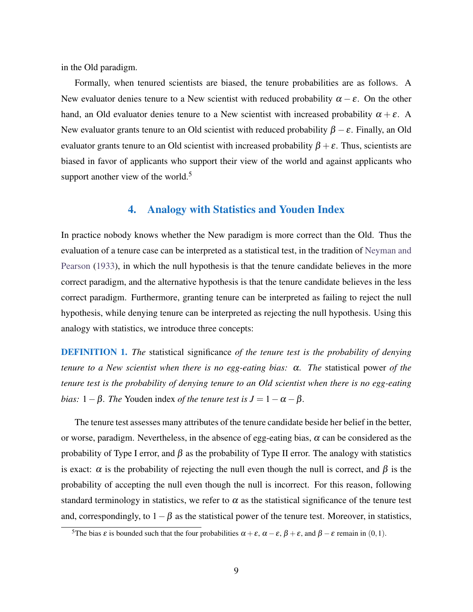in the Old paradigm.

Formally, when tenured scientists are biased, the tenure probabilities are as follows. A New evaluator denies tenure to a New scientist with reduced probability  $\alpha - \varepsilon$ . On the other hand, an Old evaluator denies tenure to a New scientist with increased probability  $\alpha + \varepsilon$ . A New evaluator grants tenure to an Old scientist with reduced probability  $\beta - \varepsilon$ . Finally, an Old evaluator grants tenure to an Old scientist with increased probability  $\beta + \varepsilon$ . Thus, scientists are biased in favor of applicants who support their view of the world and against applicants who support another view of the world. $5$ 

## 4. Analogy with Statistics and Youden Index

In practice nobody knows whether the New paradigm is more correct than the Old. Thus the evaluation of a tenure case can be interpreted as a statistical test, in the tradition of [Neyman and](#page-42-6) [Pearson](#page-42-6) [\(1933\)](#page-42-6), in which the null hypothesis is that the tenure candidate believes in the more correct paradigm, and the alternative hypothesis is that the tenure candidate believes in the less correct paradigm. Furthermore, granting tenure can be interpreted as failing to reject the null hypothesis, while denying tenure can be interpreted as rejecting the null hypothesis. Using this analogy with statistics, we introduce three concepts:

DEFINITION 1. *The* statistical significance *of the tenure test is the probability of denying tenure to a New scientist when there is no egg-eating bias:* α*. The* statistical power *of the tenure test is the probability of denying tenure to an Old scientist when there is no egg-eating bias:*  $1 - \beta$ *. The* Youden index *of the tenure test is*  $J = 1 - \alpha - \beta$ *.* 

The tenure test assesses many attributes of the tenure candidate beside her belief in the better, or worse, paradigm. Nevertheless, in the absence of egg-eating bias,  $\alpha$  can be considered as the probability of Type I error, and  $\beta$  as the probability of Type II error. The analogy with statistics is exact:  $\alpha$  is the probability of rejecting the null even though the null is correct, and  $\beta$  is the probability of accepting the null even though the null is incorrect. For this reason, following standard terminology in statistics, we refer to  $\alpha$  as the statistical significance of the tenure test and, correspondingly, to  $1-\beta$  as the statistical power of the tenure test. Moreover, in statistics,

<sup>&</sup>lt;sup>5</sup>The bias  $\varepsilon$  is bounded such that the four probabilities  $\alpha + \varepsilon$ ,  $\alpha - \varepsilon$ ,  $\beta + \varepsilon$ , and  $\beta - \varepsilon$  remain in (0,1).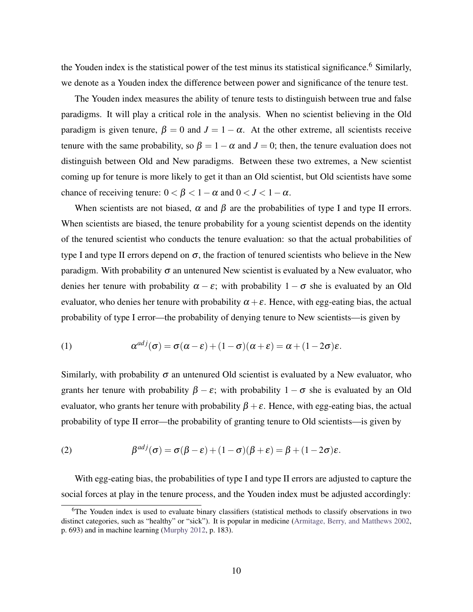the Youden index is the statistical power of the test minus its statistical significance.<sup>6</sup> Similarly, we denote as a Youden index the difference between power and significance of the tenure test.

The Youden index measures the ability of tenure tests to distinguish between true and false paradigms. It will play a critical role in the analysis. When no scientist believing in the Old paradigm is given tenure,  $\beta = 0$  and  $J = 1 - \alpha$ . At the other extreme, all scientists receive tenure with the same probability, so  $\beta = 1 - \alpha$  and  $J = 0$ ; then, the tenure evaluation does not distinguish between Old and New paradigms. Between these two extremes, a New scientist coming up for tenure is more likely to get it than an Old scientist, but Old scientists have some chance of receiving tenure:  $0 < \beta < 1-\alpha$  and  $0 < J < 1-\alpha$ .

When scientists are not biased,  $\alpha$  and  $\beta$  are the probabilities of type I and type II errors. When scientists are biased, the tenure probability for a young scientist depends on the identity of the tenured scientist who conducts the tenure evaluation: so that the actual probabilities of type I and type II errors depend on  $\sigma$ , the fraction of tenured scientists who believe in the New paradigm. With probability  $\sigma$  an untenured New scientist is evaluated by a New evaluator, who denies her tenure with probability  $\alpha - \varepsilon$ ; with probability  $1 - \sigma$  she is evaluated by an Old evaluator, who denies her tenure with probability  $\alpha + \varepsilon$ . Hence, with egg-eating bias, the actual probability of type I error—the probability of denying tenure to New scientists—is given by

<span id="page-11-0"></span>(1) 
$$
\alpha^{adj}(\sigma) = \sigma(\alpha - \varepsilon) + (1 - \sigma)(\alpha + \varepsilon) = \alpha + (1 - 2\sigma)\varepsilon.
$$

Similarly, with probability  $\sigma$  an untenured Old scientist is evaluated by a New evaluator, who grants her tenure with probability  $\beta - \varepsilon$ ; with probability  $1 - \sigma$  she is evaluated by an Old evaluator, who grants her tenure with probability  $\beta + \varepsilon$ . Hence, with egg-eating bias, the actual probability of type II error—the probability of granting tenure to Old scientists—is given by

<span id="page-11-1"></span>(2) 
$$
\beta^{adj}(\sigma) = \sigma(\beta - \varepsilon) + (1 - \sigma)(\beta + \varepsilon) = \beta + (1 - 2\sigma)\varepsilon.
$$

With egg-eating bias, the probabilities of type I and type II errors are adjusted to capture the social forces at play in the tenure process, and the Youden index must be adjusted accordingly:

<sup>&</sup>lt;sup>6</sup>The Youden index is used to evaluate binary classifiers (statistical methods to classify observations in two distinct categories, such as "healthy" or "sick"). It is popular in medicine [\(Armitage, Berry, and Matthews 2002,](#page-40-12) p. 693) and in machine learning [\(Murphy 2012,](#page-42-7) p. 183).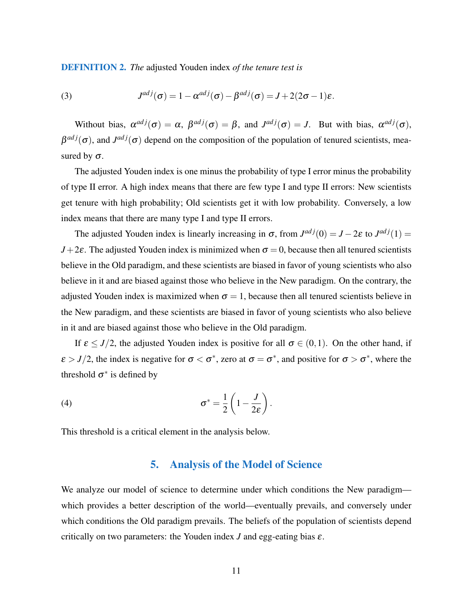DEFINITION 2. *The* adjusted Youden index *of the tenure test is*

<span id="page-12-0"></span>(3) 
$$
J^{adj}(\sigma) = 1 - \alpha^{adj}(\sigma) - \beta^{adj}(\sigma) = J + 2(2\sigma - 1)\varepsilon.
$$

Without bias,  $\alpha^{adj}(\sigma) = \alpha$ ,  $\beta^{adj}(\sigma) = \beta$ , and  $J^{adj}(\sigma) = J$ . But with bias,  $\alpha^{adj}(\sigma)$ ,  $\beta^{adj}(\sigma)$ , and  $J^{adj}(\sigma)$  depend on the composition of the population of tenured scientists, measured by  $\sigma$ .

The adjusted Youden index is one minus the probability of type I error minus the probability of type II error. A high index means that there are few type I and type II errors: New scientists get tenure with high probability; Old scientists get it with low probability. Conversely, a low index means that there are many type I and type II errors.

The adjusted Youden index is linearly increasing in  $\sigma$ , from  $J^{adj}(0) = J - 2\varepsilon$  to  $J^{adj}(1) =$  $J+2\varepsilon$ . The adjusted Youden index is minimized when  $\sigma = 0$ , because then all tenured scientists believe in the Old paradigm, and these scientists are biased in favor of young scientists who also believe in it and are biased against those who believe in the New paradigm. On the contrary, the adjusted Youden index is maximized when  $\sigma = 1$ , because then all tenured scientists believe in the New paradigm, and these scientists are biased in favor of young scientists who also believe in it and are biased against those who believe in the Old paradigm.

If  $\varepsilon \leq J/2$ , the adjusted Youden index is positive for all  $\sigma \in (0,1)$ . On the other hand, if  $\varepsilon > J/2$ , the index is negative for  $\sigma < \sigma^*$ , zero at  $\sigma = \sigma^*$ , and positive for  $\sigma > \sigma^*$ , where the threshold  $\sigma^*$  is defined by

(4) 
$$
\sigma^* = \frac{1}{2} \left( 1 - \frac{J}{2\varepsilon} \right).
$$

This threshold is a critical element in the analysis below.

#### <span id="page-12-1"></span>5. Analysis of the Model of Science

We analyze our model of science to determine under which conditions the New paradigm which provides a better description of the world—eventually prevails, and conversely under which conditions the Old paradigm prevails. The beliefs of the population of scientists depend critically on two parameters: the Youden index  $J$  and egg-eating bias  $\varepsilon$ .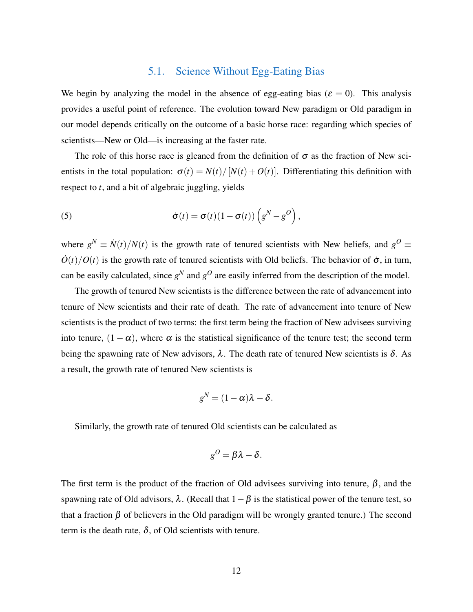# 5.1. Science Without Egg-Eating Bias

We begin by analyzing the model in the absence of egg-eating bias ( $\varepsilon = 0$ ). This analysis provides a useful point of reference. The evolution toward New paradigm or Old paradigm in our model depends critically on the outcome of a basic horse race: regarding which species of scientists—New or Old—is increasing at the faster rate.

The role of this horse race is gleaned from the definition of  $\sigma$  as the fraction of New scientists in the total population:  $\sigma(t) = N(t)/[N(t) + O(t)]$ . Differentiating this definition with respect to *t*, and a bit of algebraic juggling, yields

<span id="page-13-0"></span>(5) 
$$
\dot{\sigma}(t) = \sigma(t)(1 - \sigma(t))\left(g^N - g^O\right),
$$

where  $g^N \equiv \dot{N}(t)/N(t)$  is the growth rate of tenured scientists with New beliefs, and  $g^O \equiv$  $\dot{O}(t)/O(t)$  is the growth rate of tenured scientists with Old beliefs. The behavior of  $\dot{\sigma}$ , in turn, can be easily calculated, since  $g^N$  and  $g^O$  are easily inferred from the description of the model.

The growth of tenured New scientists is the difference between the rate of advancement into tenure of New scientists and their rate of death. The rate of advancement into tenure of New scientists is the product of two terms: the first term being the fraction of New advisees surviving into tenure,  $(1 - \alpha)$ , where  $\alpha$  is the statistical significance of the tenure test; the second term being the spawning rate of New advisors,  $\lambda$ . The death rate of tenured New scientists is  $\delta$ . As a result, the growth rate of tenured New scientists is

$$
g^N=(1-\alpha)\lambda-\delta.
$$

Similarly, the growth rate of tenured Old scientists can be calculated as

$$
g^O = \beta \lambda - \delta.
$$

The first term is the product of the fraction of Old advisees surviving into tenure,  $\beta$ , and the spawning rate of Old advisors,  $\lambda$ . (Recall that  $1-\beta$  is the statistical power of the tenure test, so that a fraction  $\beta$  of believers in the Old paradigm will be wrongly granted tenure.) The second term is the death rate,  $\delta$ , of Old scientists with tenure.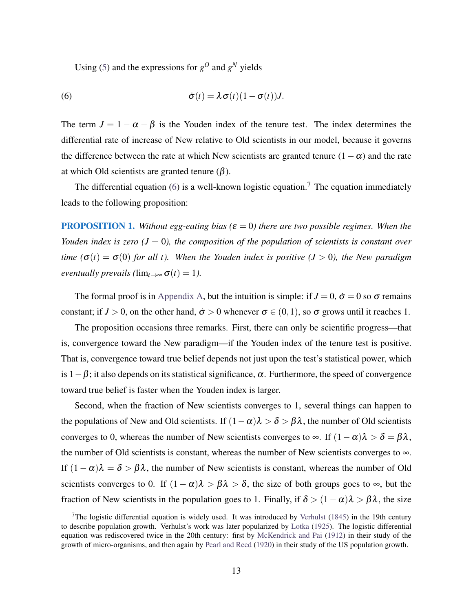<span id="page-14-0"></span>Using [\(5\)](#page-13-0) and the expressions for  $g^O$  and  $g^N$  yields

(6) 
$$
\dot{\sigma}(t) = \lambda \sigma(t) (1 - \sigma(t)) J.
$$

The term  $J = 1 - \alpha - \beta$  is the Youden index of the tenure test. The index determines the differential rate of increase of New relative to Old scientists in our model, because it governs the difference between the rate at which New scientists are granted tenure  $(1 - \alpha)$  and the rate at which Old scientists are granted tenure  $(β)$ .

The differential equation [\(6\)](#page-14-0) is a well-known logistic equation.<sup>7</sup> The equation immediately leads to the following proposition:

<span id="page-14-1"></span>**PROPOSITION 1.** *Without egg-eating bias (* $\varepsilon = 0$ *) there are two possible regimes. When the Youden index is zero*  $(J = 0)$ *, the composition of the population of scientists is constant over time* ( $\sigma(t) = \sigma(0)$  *for all t*). When the Youden index is positive ( $J > 0$ ), the New paradigm *eventually prevails (* $\lim_{t\to\infty} \sigma(t) = 1$ ).

The formal proof is in [Appendix A,](#page-44-0) but the intuition is simple: if  $J = 0$ ,  $\dot{\sigma} = 0$  so  $\sigma$  remains constant; if  $J > 0$ , on the other hand,  $\dot{\sigma} > 0$  whenever  $\sigma \in (0,1)$ , so  $\sigma$  grows until it reaches 1.

The proposition occasions three remarks. First, there can only be scientific progress—that is, convergence toward the New paradigm—if the Youden index of the tenure test is positive. That is, convergence toward true belief depends not just upon the test's statistical power, which is  $1-\beta$ ; it also depends on its statistical significance,  $\alpha$ . Furthermore, the speed of convergence toward true belief is faster when the Youden index is larger.

Second, when the fraction of New scientists converges to 1, several things can happen to the populations of New and Old scientists. If  $(1 - \alpha)\lambda > \delta > \beta\lambda$ , the number of Old scientists converges to 0, whereas the number of New scientists converges to  $\infty$ . If  $(1-\alpha)\lambda > \delta = \beta\lambda$ , the number of Old scientists is constant, whereas the number of New scientists converges to  $\infty$ . If  $(1 - \alpha)\lambda = \delta > \beta\lambda$ , the number of New scientists is constant, whereas the number of Old scientists converges to 0. If  $(1 - \alpha)\lambda > \beta\lambda > \delta$ , the size of both groups goes to  $\infty$ , but the fraction of New scientists in the population goes to 1. Finally, if  $\delta > (1-\alpha)\lambda > \beta\lambda$ , the size

<sup>&</sup>lt;sup>7</sup>The logistic differential equation is widely used. It was introduced by [Verhulst](#page-43-5) [\(1845\)](#page-43-5) in the 19th century to describe population growth. Verhulst's work was later popularized by [Lotka](#page-41-10) [\(1925\)](#page-41-10). The logistic differential equation was rediscovered twice in the 20th century: first by [McKendrick and Pai](#page-42-8) [\(1912\)](#page-42-8) in their study of the growth of micro-organisms, and then again by [Pearl and Reed](#page-42-9) [\(1920\)](#page-42-9) in their study of the US population growth.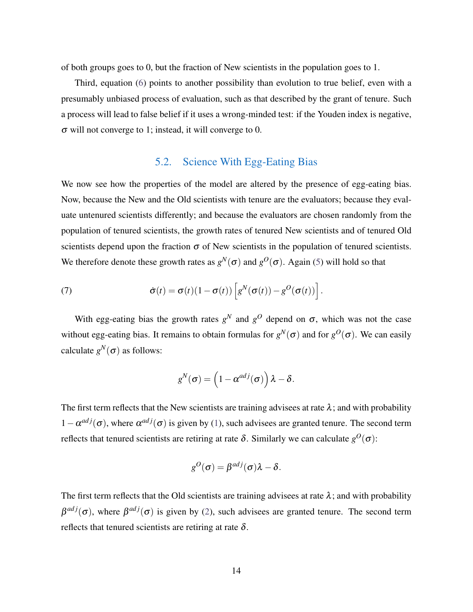of both groups goes to 0, but the fraction of New scientists in the population goes to 1.

Third, equation [\(6\)](#page-14-0) points to another possibility than evolution to true belief, even with a presumably unbiased process of evaluation, such as that described by the grant of tenure. Such a process will lead to false belief if it uses a wrong-minded test: if the Youden index is negative, σ will not converge to 1; instead, it will converge to 0.

### 5.2. Science With Egg-Eating Bias

We now see how the properties of the model are altered by the presence of egg-eating bias. Now, because the New and the Old scientists with tenure are the evaluators; because they evaluate untenured scientists differently; and because the evaluators are chosen randomly from the population of tenured scientists, the growth rates of tenured New scientists and of tenured Old scientists depend upon the fraction  $\sigma$  of New scientists in the population of tenured scientists. We therefore denote these growth rates as  $g^N(\sigma)$  and  $g^O(\sigma)$ . Again [\(5\)](#page-13-0) will hold so that

<span id="page-15-0"></span>(7) 
$$
\dot{\sigma}(t) = \sigma(t)(1 - \sigma(t)) \left[ g^N(\sigma(t)) - g^O(\sigma(t)) \right].
$$

With egg-eating bias the growth rates  $g^N$  and  $g^O$  depend on  $\sigma$ , which was not the case without egg-eating bias. It remains to obtain formulas for  $g^N(\sigma)$  and for  $g^O(\sigma)$ . We can easily calculate  $g^N(\sigma)$  as follows:

$$
g^N(\boldsymbol{\sigma}) = \left(1 - \alpha^{adj}(\boldsymbol{\sigma})\right)\lambda - \delta.
$$

The first term reflects that the New scientists are training advisees at rate  $\lambda$ ; and with probability  $1 - \alpha^{adj}(\sigma)$ , where  $\alpha^{adj}(\sigma)$  is given by [\(1\)](#page-11-0), such advisees are granted tenure. The second term reflects that tenured scientists are retiring at rate δ. Similarly we can calculate  $g^O(\sigma)$ :

$$
g^{O}(\sigma) = \beta^{adj}(\sigma)\lambda - \delta.
$$

The first term reflects that the Old scientists are training advisees at rate  $\lambda$ ; and with probability  $\beta^{adj}(\sigma)$ , where  $\beta^{adj}(\sigma)$  is given by [\(2\)](#page-11-1), such advisees are granted tenure. The second term reflects that tenured scientists are retiring at rate  $\delta$ .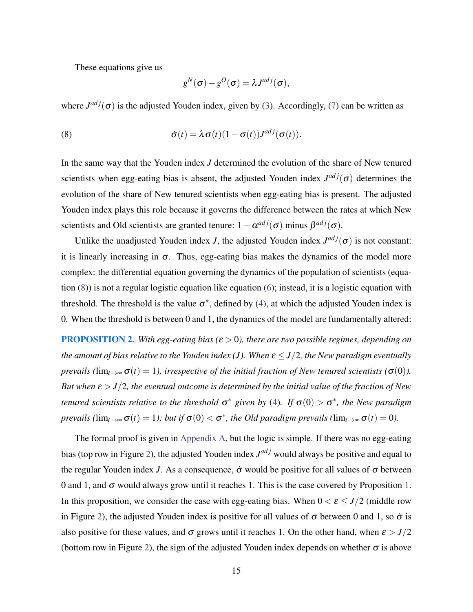These equations give us

<span id="page-16-0"></span>
$$
g^N(\sigma) - g^O(\sigma) = \lambda J^{adj}(\sigma),
$$

where  $J^{adj}(\sigma)$  is the adjusted Youden index, given by [\(3\)](#page-12-0). Accordingly, [\(7\)](#page-15-0) can be written as

(8) 
$$
\dot{\sigma}(t) = \lambda \sigma(t) (1 - \sigma(t)) J^{adj}(\sigma(t)).
$$

In the same way that the Youden index *J* determined the evolution of the share of New tenured scientists when egg-eating bias is absent, the adjusted Youden index  $J^{adj}(\sigma)$  determines the evolution of the share of New tenured scientists when egg-eating bias is present. The adjusted Youden index plays this role because it governs the difference between the rates at which New scientists and Old scientists are granted tenure:  $1 - \alpha^{adj}(\sigma)$  minus  $\beta^{adj}(\sigma)$ .

Unlike the unadjusted Youden index *J*, the adjusted Youden index  $J^{adj}(\sigma)$  is not constant: it is linearly increasing in  $\sigma$ . Thus, egg-eating bias makes the dynamics of the model more complex: the differential equation governing the dynamics of the population of scientists (equation [\(8\)](#page-16-0)) is not a regular logistic equation like equation [\(6\)](#page-14-0); instead, it is a logistic equation with threshold. The threshold is the value  $\sigma^*$ , defined by [\(4\)](#page-12-1), at which the adjusted Youden index is 0. When the threshold is between 0 and 1, the dynamics of the model are fundamentally altered:

<span id="page-16-1"></span>PROPOSITION 2. *With egg-eating bias (*ε > 0*), there are two possible regimes, depending on the amount of bias relative to the Youden index (J). When*  $\varepsilon \leq J/2$ *, the New paradigm eventually prevails (*lim<sub>*t*→∞</sub> $\sigma$ (*t*) = 1), *irrespective of the initial fraction of New tenured scientists (* $\sigma$ (0)). *But when*  $\varepsilon > J/2$ , the eventual outcome is determined by the initial value of the fraction of New *tenured scientists relative to the threshold*  $\sigma^*$  given by [\(4\)](#page-12-1). If  $\sigma(0) > \sigma^*$ , the New paradigm *prevails* ( $\lim_{t\to\infty} \sigma(t) = 1$ ); but if  $\sigma(0) < \sigma^*$ , the Old paradigm prevails ( $\lim_{t\to\infty} \sigma(t) = 0$ ).

The formal proof is given in [Appendix A,](#page-44-0) but the logic is simple. If there was no egg-eating bias (top row in Figure [2\)](#page-17-0), the adjusted Youden index  $J^{adj}$  would always be positive and equal to the regular Youden index *J*. As a consequence,  $\dot{\sigma}$  would be positive for all values of  $\sigma$  between 0 and 1, and  $\sigma$  would always grow until it reaches [1.](#page-14-1) This is the case covered by Proposition 1. In this proposition, we consider the case with egg-eating bias. When  $0 < \varepsilon \leq J/2$  (middle row in Figure [2\)](#page-17-0), the adjusted Youden index is positive for all values of  $\sigma$  between 0 and 1, so  $\dot{\sigma}$  is also positive for these values, and  $\sigma$  grows until it reaches 1. On the other hand, when  $\varepsilon > J/2$ (bottom row in Figure [2\)](#page-17-0), the sign of the adjusted Youden index depends on whether  $\sigma$  is above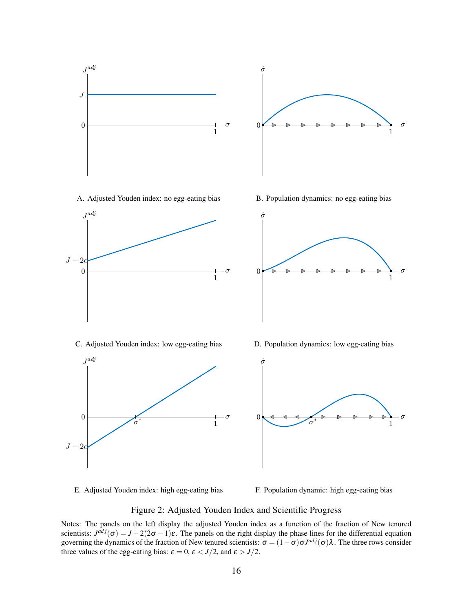

E. Adjusted Youden index: high egg-eating bias

F. Population dynamic: high egg-eating bias

<span id="page-17-0"></span>Figure 2: Adjusted Youden Index and Scientific Progress

Notes: The panels on the left display the adjusted Youden index as a function of the fraction of New tenured scientists:  $J^{adj}(\sigma) = J + 2(2\sigma - 1)\varepsilon$ . The panels on the right display the phase lines for the differential equation governing the dynamics of the fraction of New tenured scientists:  $\dot{\sigma} = (1 - \sigma) \sigma J^{adj}(\sigma) \lambda$ . The three rows consider three values of the egg-eating bias:  $\varepsilon = 0$ ,  $\varepsilon < J/2$ , and  $\varepsilon > J/2$ .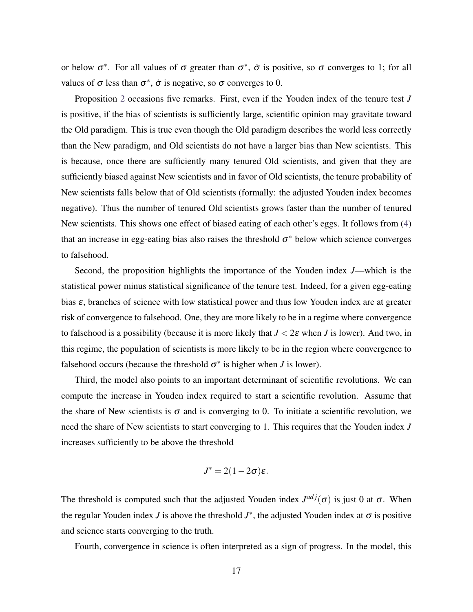or below  $\sigma^*$ . For all values of  $\sigma$  greater than  $\sigma^*$ ,  $\dot{\sigma}$  is positive, so  $\sigma$  converges to 1; for all values of  $\sigma$  less than  $\sigma^*$ ,  $\dot{\sigma}$  is negative, so  $\sigma$  converges to 0.

Proposition [2](#page-16-1) occasions five remarks. First, even if the Youden index of the tenure test *J* is positive, if the bias of scientists is sufficiently large, scientific opinion may gravitate toward the Old paradigm. This is true even though the Old paradigm describes the world less correctly than the New paradigm, and Old scientists do not have a larger bias than New scientists. This is because, once there are sufficiently many tenured Old scientists, and given that they are sufficiently biased against New scientists and in favor of Old scientists, the tenure probability of New scientists falls below that of Old scientists (formally: the adjusted Youden index becomes negative). Thus the number of tenured Old scientists grows faster than the number of tenured New scientists. This shows one effect of biased eating of each other's eggs. It follows from [\(4\)](#page-12-1) that an increase in egg-eating bias also raises the threshold  $\sigma^*$  below which science converges to falsehood.

Second, the proposition highlights the importance of the Youden index *J*—which is the statistical power minus statistical significance of the tenure test. Indeed, for a given egg-eating bias  $\varepsilon$ , branches of science with low statistical power and thus low Youden index are at greater risk of convergence to falsehood. One, they are more likely to be in a regime where convergence to falsehood is a possibility (because it is more likely that *J* < 2ε when *J* is lower). And two, in this regime, the population of scientists is more likely to be in the region where convergence to falsehood occurs (because the threshold  $\sigma^*$  is higher when *J* is lower).

Third, the model also points to an important determinant of scientific revolutions. We can compute the increase in Youden index required to start a scientific revolution. Assume that the share of New scientists is  $\sigma$  and is converging to 0. To initiate a scientific revolution, we need the share of New scientists to start converging to 1. This requires that the Youden index *J* increases sufficiently to be above the threshold

$$
J^* = 2(1-2\sigma)\varepsilon.
$$

The threshold is computed such that the adjusted Youden index  $J^{adj}(\sigma)$  is just 0 at  $\sigma$ . When the regular Youden index *J* is above the threshold  $J^*$ , the adjusted Youden index at  $\sigma$  is positive and science starts converging to the truth.

Fourth, convergence in science is often interpreted as a sign of progress. In the model, this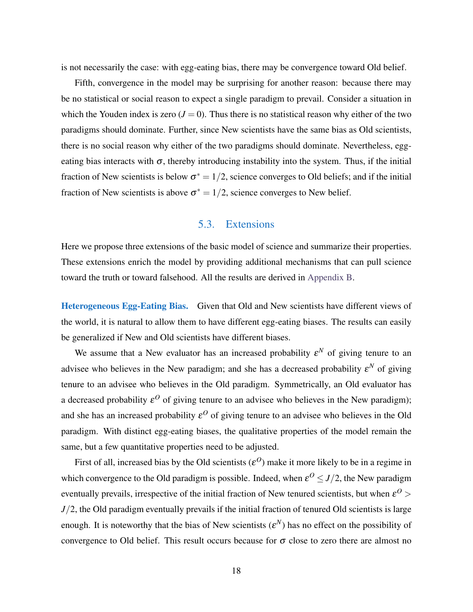is not necessarily the case: with egg-eating bias, there may be convergence toward Old belief.

Fifth, convergence in the model may be surprising for another reason: because there may be no statistical or social reason to expect a single paradigm to prevail. Consider a situation in which the Youden index is zero  $(J = 0)$ . Thus there is no statistical reason why either of the two paradigms should dominate. Further, since New scientists have the same bias as Old scientists, there is no social reason why either of the two paradigms should dominate. Nevertheless, eggeating bias interacts with  $\sigma$ , thereby introducing instability into the system. Thus, if the initial fraction of New scientists is below  $\sigma^* = 1/2$ , science converges to Old beliefs; and if the initial fraction of New scientists is above  $\sigma^* = 1/2$ , science converges to New belief.

## 5.3. Extensions

<span id="page-19-0"></span>Here we propose three extensions of the basic model of science and summarize their properties. These extensions enrich the model by providing additional mechanisms that can pull science toward the truth or toward falsehood. All the results are derived in [Appendix B.](#page-45-0)

Heterogeneous Egg-Eating Bias. Given that Old and New scientists have different views of the world, it is natural to allow them to have different egg-eating biases. The results can easily be generalized if New and Old scientists have different biases.

We assume that a New evaluator has an increased probability  $\varepsilon^N$  of giving tenure to an advisee who believes in the New paradigm; and she has a decreased probability  $\varepsilon^N$  of giving tenure to an advisee who believes in the Old paradigm. Symmetrically, an Old evaluator has a decreased probability  $\varepsilon^O$  of giving tenure to an advisee who believes in the New paradigm); and she has an increased probability  $\varepsilon^O$  of giving tenure to an advisee who believes in the Old paradigm. With distinct egg-eating biases, the qualitative properties of the model remain the same, but a few quantitative properties need to be adjusted.

First of all, increased bias by the Old scientists  $(\varepsilon^O)$  make it more likely to be in a regime in which convergence to the Old paradigm is possible. Indeed, when  $\varepsilon^O \leq J/2$ , the New paradigm eventually prevails, irrespective of the initial fraction of New tenured scientists, but when  $\varepsilon^{O}$  > *J*/2, the Old paradigm eventually prevails if the initial fraction of tenured Old scientists is large enough. It is noteworthy that the bias of New scientists  $(\varepsilon^N)$  has no effect on the possibility of convergence to Old belief. This result occurs because for  $\sigma$  close to zero there are almost no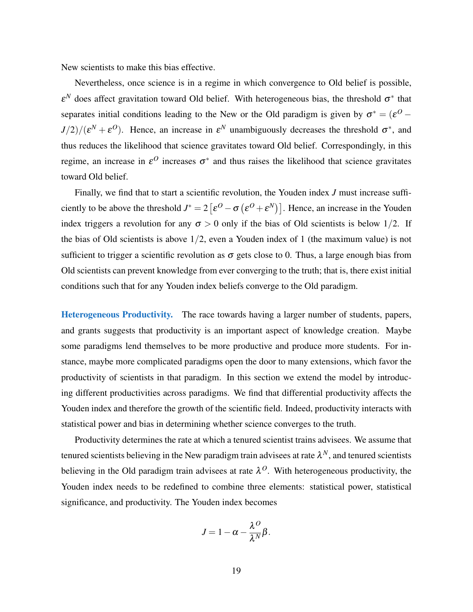New scientists to make this bias effective.

Nevertheless, once science is in a regime in which convergence to Old belief is possible,  $\varepsilon^N$  does affect gravitation toward Old belief. With heterogeneous bias, the threshold  $\sigma^*$  that separates initial conditions leading to the New or the Old paradigm is given by  $\sigma^* = (\varepsilon^O J/2)/(\varepsilon^N + \varepsilon^O)$ . Hence, an increase in  $\varepsilon^N$  unambiguously decreases the threshold  $\sigma^*$ , and thus reduces the likelihood that science gravitates toward Old belief. Correspondingly, in this regime, an increase in  $\varepsilon^O$  increases  $\sigma^*$  and thus raises the likelihood that science gravitates toward Old belief.

Finally, we find that to start a scientific revolution, the Youden index *J* must increase sufficiently to be above the threshold  $J^* = 2 \left[ \varepsilon^O - \sigma \left( \varepsilon^O + \varepsilon^N \right) \right]$ . Hence, an increase in the Youden index triggers a revolution for any  $\sigma > 0$  only if the bias of Old scientists is below 1/2. If the bias of Old scientists is above  $1/2$ , even a Youden index of 1 (the maximum value) is not sufficient to trigger a scientific revolution as  $\sigma$  gets close to 0. Thus, a large enough bias from Old scientists can prevent knowledge from ever converging to the truth; that is, there exist initial conditions such that for any Youden index beliefs converge to the Old paradigm.

Heterogeneous Productivity. The race towards having a larger number of students, papers, and grants suggests that productivity is an important aspect of knowledge creation. Maybe some paradigms lend themselves to be more productive and produce more students. For instance, maybe more complicated paradigms open the door to many extensions, which favor the productivity of scientists in that paradigm. In this section we extend the model by introducing different productivities across paradigms. We find that differential productivity affects the Youden index and therefore the growth of the scientific field. Indeed, productivity interacts with statistical power and bias in determining whether science converges to the truth.

Productivity determines the rate at which a tenured scientist trains advisees. We assume that tenured scientists believing in the New paradigm train advisees at rate  $\lambda^N$ , and tenured scientists believing in the Old paradigm train advisees at rate  $\lambda^0$ . With heterogeneous productivity, the Youden index needs to be redefined to combine three elements: statistical power, statistical significance, and productivity. The Youden index becomes

$$
J=1-\alpha-\frac{\lambda^O}{\lambda^N}\beta.
$$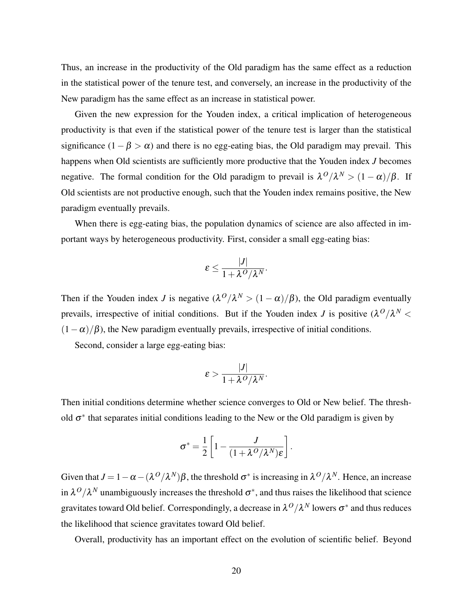Thus, an increase in the productivity of the Old paradigm has the same effect as a reduction in the statistical power of the tenure test, and conversely, an increase in the productivity of the New paradigm has the same effect as an increase in statistical power.

Given the new expression for the Youden index, a critical implication of heterogeneous productivity is that even if the statistical power of the tenure test is larger than the statistical significance  $(1 - \beta > \alpha)$  and there is no egg-eating bias, the Old paradigm may prevail. This happens when Old scientists are sufficiently more productive that the Youden index *J* becomes negative. The formal condition for the Old paradigm to prevail is  $\lambda^O/\lambda^N > (1 - \alpha)/\beta$ . If Old scientists are not productive enough, such that the Youden index remains positive, the New paradigm eventually prevails.

When there is egg-eating bias, the population dynamics of science are also affected in important ways by heterogeneous productivity. First, consider a small egg-eating bias:

$$
\varepsilon \leq \frac{|J|}{1 + \lambda^O/\lambda^N}.
$$

Then if the Youden index *J* is negative  $(\lambda^O/\lambda^N > (1 - \alpha)/\beta)$ , the Old paradigm eventually prevails, irrespective of initial conditions. But if the Youden index *J* is positive  $(\lambda^O/\lambda^N <$  $(1 - \alpha)/\beta$ ), the New paradigm eventually prevails, irrespective of initial conditions.

Second, consider a large egg-eating bias:

$$
\varepsilon > \frac{|J|}{1 + \lambda^O/\lambda^N}.
$$

Then initial conditions determine whether science converges to Old or New belief. The threshold  $\sigma^*$  that separates initial conditions leading to the New or the Old paradigm is given by

$$
\sigma^* = \frac{1}{2} \left[ 1 - \frac{J}{(1 + \lambda^O/\lambda^N)\varepsilon} \right].
$$

Given that  $J = 1 - \alpha - (\lambda^O/\lambda^N)\beta$ , the threshold  $\sigma^*$  is increasing in  $\lambda^O/\lambda^N$ . Hence, an increase in  $\lambda^O/\lambda^N$  unambiguously increases the threshold  $\sigma^*$ , and thus raises the likelihood that science gravitates toward Old belief. Correspondingly, a decrease in  $\lambda^O/\lambda^N$  lowers  $\sigma^*$  and thus reduces the likelihood that science gravitates toward Old belief.

Overall, productivity has an important effect on the evolution of scientific belief. Beyond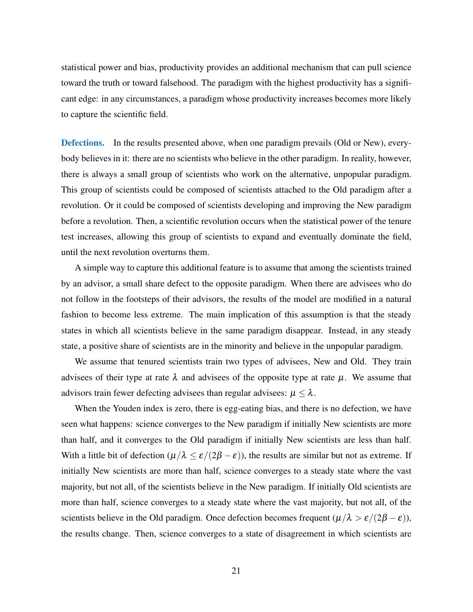statistical power and bias, productivity provides an additional mechanism that can pull science toward the truth or toward falsehood. The paradigm with the highest productivity has a significant edge: in any circumstances, a paradigm whose productivity increases becomes more likely to capture the scientific field.

**Defections.** In the results presented above, when one paradigm prevails (Old or New), everybody believes in it: there are no scientists who believe in the other paradigm. In reality, however, there is always a small group of scientists who work on the alternative, unpopular paradigm. This group of scientists could be composed of scientists attached to the Old paradigm after a revolution. Or it could be composed of scientists developing and improving the New paradigm before a revolution. Then, a scientific revolution occurs when the statistical power of the tenure test increases, allowing this group of scientists to expand and eventually dominate the field, until the next revolution overturns them.

A simple way to capture this additional feature is to assume that among the scientists trained by an advisor, a small share defect to the opposite paradigm. When there are advisees who do not follow in the footsteps of their advisors, the results of the model are modified in a natural fashion to become less extreme. The main implication of this assumption is that the steady states in which all scientists believe in the same paradigm disappear. Instead, in any steady state, a positive share of scientists are in the minority and believe in the unpopular paradigm.

We assume that tenured scientists train two types of advisees, New and Old. They train advisees of their type at rate  $\lambda$  and advisees of the opposite type at rate  $\mu$ . We assume that advisors train fewer defecting advisees than regular advisees:  $\mu \leq \lambda$ .

When the Youden index is zero, there is egg-eating bias, and there is no defection, we have seen what happens: science converges to the New paradigm if initially New scientists are more than half, and it converges to the Old paradigm if initially New scientists are less than half. With a little bit of defection  $(\mu/\lambda \le \varepsilon/(2\beta - \varepsilon))$ , the results are similar but not as extreme. If initially New scientists are more than half, science converges to a steady state where the vast majority, but not all, of the scientists believe in the New paradigm. If initially Old scientists are more than half, science converges to a steady state where the vast majority, but not all, of the scientists believe in the Old paradigm. Once defection becomes frequent  $(\mu/\lambda > \varepsilon/(2\beta - \varepsilon))$ , the results change. Then, science converges to a state of disagreement in which scientists are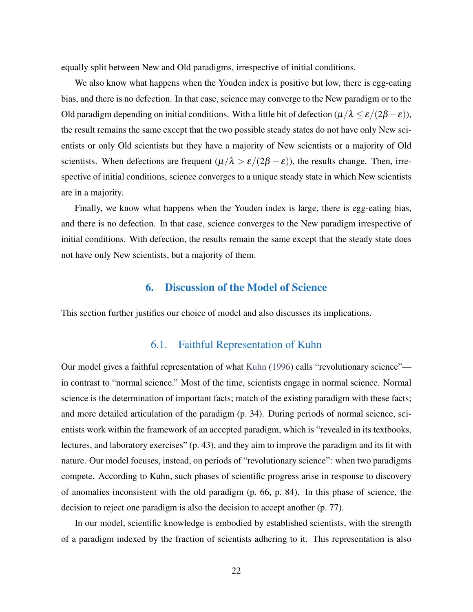equally split between New and Old paradigms, irrespective of initial conditions.

We also know what happens when the Youden index is positive but low, there is egg-eating bias, and there is no defection. In that case, science may converge to the New paradigm or to the Old paradigm depending on initial conditions. With a little bit of defection  $(\mu/\lambda \le \varepsilon/(2\beta - \varepsilon))$ , the result remains the same except that the two possible steady states do not have only New scientists or only Old scientists but they have a majority of New scientists or a majority of Old scientists. When defections are frequent  $(\mu/\lambda > \varepsilon/(2\beta - \varepsilon))$ , the results change. Then, irrespective of initial conditions, science converges to a unique steady state in which New scientists are in a majority.

Finally, we know what happens when the Youden index is large, there is egg-eating bias, and there is no defection. In that case, science converges to the New paradigm irrespective of initial conditions. With defection, the results remain the same except that the steady state does not have only New scientists, but a majority of them.

#### 6. Discussion of the Model of Science

This section further justifies our choice of model and also discusses its implications.

## 6.1. Faithful Representation of Kuhn

Our model gives a faithful representation of what [Kuhn](#page-41-0) [\(1996\)](#page-41-0) calls "revolutionary science" in contrast to "normal science." Most of the time, scientists engage in normal science. Normal science is the determination of important facts; match of the existing paradigm with these facts; and more detailed articulation of the paradigm (p. 34). During periods of normal science, scientists work within the framework of an accepted paradigm, which is "revealed in its textbooks, lectures, and laboratory exercises" (p. 43), and they aim to improve the paradigm and its fit with nature. Our model focuses, instead, on periods of "revolutionary science": when two paradigms compete. According to Kuhn, such phases of scientific progress arise in response to discovery of anomalies inconsistent with the old paradigm (p. 66, p. 84). In this phase of science, the decision to reject one paradigm is also the decision to accept another (p. 77).

In our model, scientific knowledge is embodied by established scientists, with the strength of a paradigm indexed by the fraction of scientists adhering to it. This representation is also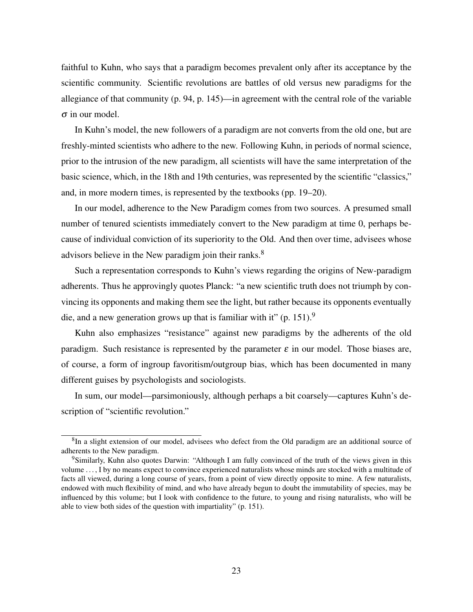faithful to Kuhn, who says that a paradigm becomes prevalent only after its acceptance by the scientific community. Scientific revolutions are battles of old versus new paradigms for the allegiance of that community (p. 94, p. 145)—in agreement with the central role of the variable  $\sigma$  in our model.

In Kuhn's model, the new followers of a paradigm are not converts from the old one, but are freshly-minted scientists who adhere to the new. Following Kuhn, in periods of normal science, prior to the intrusion of the new paradigm, all scientists will have the same interpretation of the basic science, which, in the 18th and 19th centuries, was represented by the scientific "classics," and, in more modern times, is represented by the textbooks (pp. 19–20).

In our model, adherence to the New Paradigm comes from two sources. A presumed small number of tenured scientists immediately convert to the New paradigm at time 0, perhaps because of individual conviction of its superiority to the Old. And then over time, advisees whose advisors believe in the New paradigm join their ranks.<sup>8</sup>

Such a representation corresponds to Kuhn's views regarding the origins of New-paradigm adherents. Thus he approvingly quotes Planck: "a new scientific truth does not triumph by convincing its opponents and making them see the light, but rather because its opponents eventually die, and a new generation grows up that is familiar with it" (p. 151).<sup>9</sup>

Kuhn also emphasizes "resistance" against new paradigms by the adherents of the old paradigm. Such resistance is represented by the parameter  $\varepsilon$  in our model. Those biases are, of course, a form of ingroup favoritism/outgroup bias, which has been documented in many different guises by psychologists and sociologists.

In sum, our model—parsimoniously, although perhaps a bit coarsely—captures Kuhn's description of "scientific revolution."

<sup>&</sup>lt;sup>8</sup>In a slight extension of our model, advisees who defect from the Old paradigm are an additional source of adherents to the New paradigm.

<sup>9</sup>Similarly, Kuhn also quotes Darwin: "Although I am fully convinced of the truth of the views given in this volume . . . , I by no means expect to convince experienced naturalists whose minds are stocked with a multitude of facts all viewed, during a long course of years, from a point of view directly opposite to mine. A few naturalists, endowed with much flexibility of mind, and who have already begun to doubt the immutability of species, may be influenced by this volume; but I look with confidence to the future, to young and rising naturalists, who will be able to view both sides of the question with impartiality" (p. 151).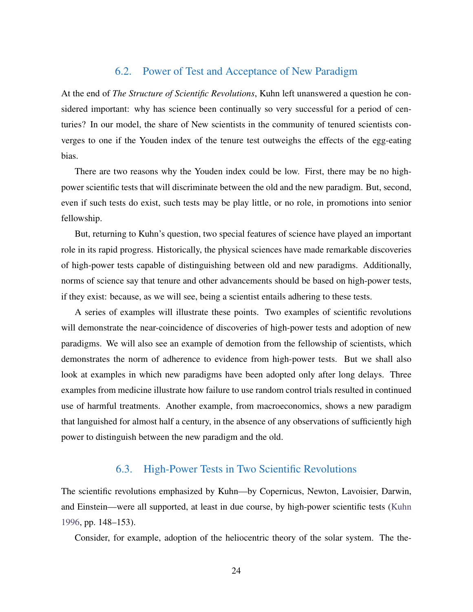### 6.2. Power of Test and Acceptance of New Paradigm

At the end of *The Structure of Scientific Revolutions*, Kuhn left unanswered a question he considered important: why has science been continually so very successful for a period of centuries? In our model, the share of New scientists in the community of tenured scientists converges to one if the Youden index of the tenure test outweighs the effects of the egg-eating bias.

There are two reasons why the Youden index could be low. First, there may be no highpower scientific tests that will discriminate between the old and the new paradigm. But, second, even if such tests do exist, such tests may be play little, or no role, in promotions into senior fellowship.

But, returning to Kuhn's question, two special features of science have played an important role in its rapid progress. Historically, the physical sciences have made remarkable discoveries of high-power tests capable of distinguishing between old and new paradigms. Additionally, norms of science say that tenure and other advancements should be based on high-power tests, if they exist: because, as we will see, being a scientist entails adhering to these tests.

A series of examples will illustrate these points. Two examples of scientific revolutions will demonstrate the near-coincidence of discoveries of high-power tests and adoption of new paradigms. We will also see an example of demotion from the fellowship of scientists, which demonstrates the norm of adherence to evidence from high-power tests. But we shall also look at examples in which new paradigms have been adopted only after long delays. Three examples from medicine illustrate how failure to use random control trials resulted in continued use of harmful treatments. Another example, from macroeconomics, shows a new paradigm that languished for almost half a century, in the absence of any observations of sufficiently high power to distinguish between the new paradigm and the old.

# 6.3. High-Power Tests in Two Scientific Revolutions

The scientific revolutions emphasized by Kuhn—by Copernicus, Newton, Lavoisier, Darwin, and Einstein—were all supported, at least in due course, by high-power scientific tests [\(Kuhn](#page-41-0) [1996,](#page-41-0) pp. 148–153).

Consider, for example, adoption of the heliocentric theory of the solar system. The the-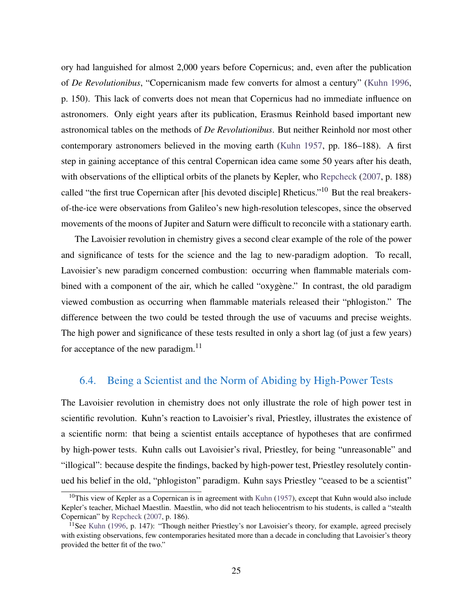ory had languished for almost 2,000 years before Copernicus; and, even after the publication of *De Revolutionibus*, "Copernicanism made few converts for almost a century" [\(Kuhn 1996,](#page-41-0) p. 150). This lack of converts does not mean that Copernicus had no immediate influence on astronomers. Only eight years after its publication, Erasmus Reinhold based important new astronomical tables on the methods of *De Revolutionibus*. But neither Reinhold nor most other contemporary astronomers believed in the moving earth [\(Kuhn 1957,](#page-41-1) pp. 186–188). A first step in gaining acceptance of this central Copernican idea came some 50 years after his death, with observations of the elliptical orbits of the planets by Kepler, who [Repcheck](#page-42-10) [\(2007,](#page-42-10) p. 188) called "the first true Copernican after [his devoted disciple] Rheticus."<sup>10</sup> But the real breakersof-the-ice were observations from Galileo's new high-resolution telescopes, since the observed movements of the moons of Jupiter and Saturn were difficult to reconcile with a stationary earth.

The Lavoisier revolution in chemistry gives a second clear example of the role of the power and significance of tests for the science and the lag to new-paradigm adoption. To recall, Lavoisier's new paradigm concerned combustion: occurring when flammable materials combined with a component of the air, which he called "oxygène." In contrast, the old paradigm viewed combustion as occurring when flammable materials released their "phlogiston." The difference between the two could be tested through the use of vacuums and precise weights. The high power and significance of these tests resulted in only a short lag (of just a few years) for acceptance of the new paradigm. $^{11}$ 

## 6.4. Being a Scientist and the Norm of Abiding by High-Power Tests

The Lavoisier revolution in chemistry does not only illustrate the role of high power test in scientific revolution. Kuhn's reaction to Lavoisier's rival, Priestley, illustrates the existence of a scientific norm: that being a scientist entails acceptance of hypotheses that are confirmed by high-power tests. Kuhn calls out Lavoisier's rival, Priestley, for being "unreasonable" and "illogical": because despite the findings, backed by high-power test, Priestley resolutely continued his belief in the old, "phlogiston" paradigm. Kuhn says Priestley "ceased to be a scientist"

 $10$ This view of Kepler as a Copernican is in agreement with [Kuhn](#page-41-1) [\(1957\)](#page-41-1), except that Kuhn would also include Kepler's teacher, Michael Maestlin. Maestlin, who did not teach heliocentrism to his students, is called a "stealth Copernican" by [Repcheck](#page-42-10) [\(2007,](#page-42-10) p. 186).

<sup>&</sup>lt;sup>11</sup>See [Kuhn](#page-41-0) [\(1996,](#page-41-0) p. 147): "Though neither Priestley's nor Lavoisier's theory, for example, agreed precisely with existing observations, few contemporaries hesitated more than a decade in concluding that Lavoisier's theory provided the better fit of the two."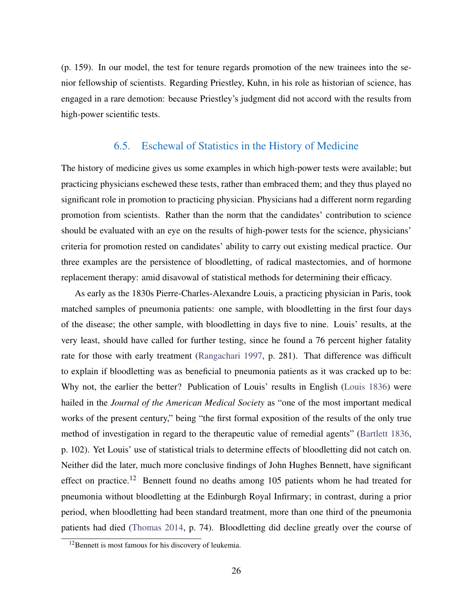(p. 159). In our model, the test for tenure regards promotion of the new trainees into the senior fellowship of scientists. Regarding Priestley, Kuhn, in his role as historian of science, has engaged in a rare demotion: because Priestley's judgment did not accord with the results from high-power scientific tests.

## 6.5. Eschewal of Statistics in the History of Medicine

The history of medicine gives us some examples in which high-power tests were available; but practicing physicians eschewed these tests, rather than embraced them; and they thus played no significant role in promotion to practicing physician. Physicians had a different norm regarding promotion from scientists. Rather than the norm that the candidates' contribution to science should be evaluated with an eye on the results of high-power tests for the science, physicians' criteria for promotion rested on candidates' ability to carry out existing medical practice. Our three examples are the persistence of bloodletting, of radical mastectomies, and of hormone replacement therapy: amid disavowal of statistical methods for determining their efficacy.

As early as the 1830s Pierre-Charles-Alexandre Louis, a practicing physician in Paris, took matched samples of pneumonia patients: one sample, with bloodletting in the first four days of the disease; the other sample, with bloodletting in days five to nine. Louis' results, at the very least, should have called for further testing, since he found a 76 percent higher fatality rate for those with early treatment [\(Rangachari 1997,](#page-42-11) p. 281). That difference was difficult to explain if bloodletting was as beneficial to pneumonia patients as it was cracked up to be: Why not, the earlier the better? Publication of Louis' results in English [\(Louis 1836\)](#page-41-11) were hailed in the *Journal of the American Medical Society* as "one of the most important medical works of the present century," being "the first formal exposition of the results of the only true method of investigation in regard to the therapeutic value of remedial agents" [\(Bartlett 1836,](#page-40-13) p. 102). Yet Louis' use of statistical trials to determine effects of bloodletting did not catch on. Neither did the later, much more conclusive findings of John Hughes Bennett, have significant effect on practice.<sup>12</sup> Bennett found no deaths among 105 patients whom he had treated for pneumonia without bloodletting at the Edinburgh Royal Infirmary; in contrast, during a prior period, when bloodletting had been standard treatment, more than one third of the pneumonia patients had died [\(Thomas 2014,](#page-43-6) p. 74). Bloodletting did decline greatly over the course of

<sup>&</sup>lt;sup>12</sup>Bennett is most famous for his discovery of leukemia.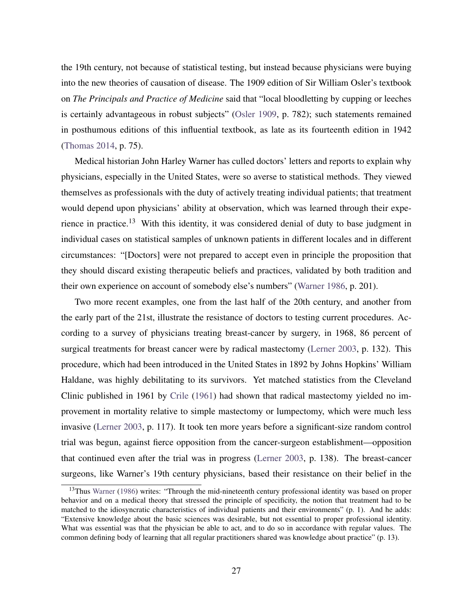the 19th century, not because of statistical testing, but instead because physicians were buying into the new theories of causation of disease. The 1909 edition of Sir William Osler's textbook on *The Principals and Practice of Medicine* said that "local bloodletting by cupping or leeches is certainly advantageous in robust subjects" [\(Osler 1909,](#page-42-12) p. 782); such statements remained in posthumous editions of this influential textbook, as late as its fourteenth edition in 1942 [\(Thomas 2014,](#page-43-6) p. 75).

Medical historian John Harley Warner has culled doctors' letters and reports to explain why physicians, especially in the United States, were so averse to statistical methods. They viewed themselves as professionals with the duty of actively treating individual patients; that treatment would depend upon physicians' ability at observation, which was learned through their experience in practice.<sup>13</sup> With this identity, it was considered denial of duty to base judgment in individual cases on statistical samples of unknown patients in different locales and in different circumstances: "[Doctors] were not prepared to accept even in principle the proposition that they should discard existing therapeutic beliefs and practices, validated by both tradition and their own experience on account of somebody else's numbers" [\(Warner 1986,](#page-43-7) p. 201).

Two more recent examples, one from the last half of the 20th century, and another from the early part of the 21st, illustrate the resistance of doctors to testing current procedures. According to a survey of physicians treating breast-cancer by surgery, in 1968, 86 percent of surgical treatments for breast cancer were by radical mastectomy [\(Lerner 2003,](#page-41-12) p. 132). This procedure, which had been introduced in the United States in 1892 by Johns Hopkins' William Haldane, was highly debilitating to its survivors. Yet matched statistics from the Cleveland Clinic published in 1961 by [Crile](#page-41-13) [\(1961\)](#page-41-13) had shown that radical mastectomy yielded no improvement in mortality relative to simple mastectomy or lumpectomy, which were much less invasive [\(Lerner 2003,](#page-41-12) p. 117). It took ten more years before a significant-size random control trial was begun, against fierce opposition from the cancer-surgeon establishment—opposition that continued even after the trial was in progress [\(Lerner 2003,](#page-41-12) p. 138). The breast-cancer surgeons, like Warner's 19th century physicians, based their resistance on their belief in the

<sup>&</sup>lt;sup>13</sup>Thus [Warner](#page-43-7) [\(1986\)](#page-43-7) writes: "Through the mid-nineteenth century professional identity was based on proper behavior and on a medical theory that stressed the principle of specificity, the notion that treatment had to be matched to the idiosyncratic characteristics of individual patients and their environments" (p. 1). And he adds: "Extensive knowledge about the basic sciences was desirable, but not essential to proper professional identity. What was essential was that the physician be able to act, and to do so in accordance with regular values. The common defining body of learning that all regular practitioners shared was knowledge about practice" (p. 13).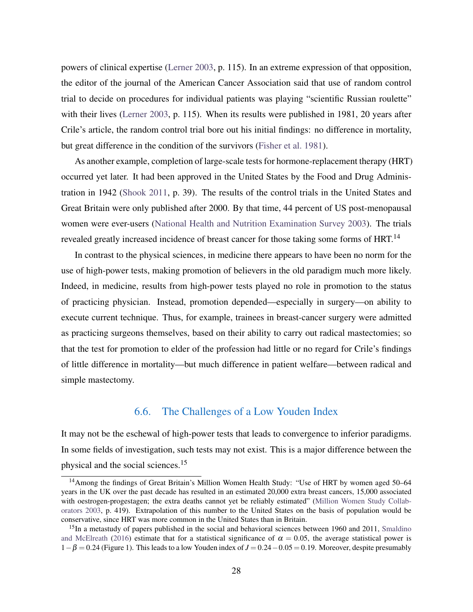powers of clinical expertise [\(Lerner 2003,](#page-41-12) p. 115). In an extreme expression of that opposition, the editor of the journal of the American Cancer Association said that use of random control trial to decide on procedures for individual patients was playing "scientific Russian roulette" with their lives [\(Lerner 2003,](#page-41-12) p. 115). When its results were published in 1981, 20 years after Crile's article, the random control trial bore out his initial findings: no difference in mortality, but great difference in the condition of the survivors [\(Fisher et al. 1981\)](#page-41-14).

As another example, completion of large-scale tests for hormone-replacement therapy (HRT) occurred yet later. It had been approved in the United States by the Food and Drug Administration in 1942 [\(Shook 2011,](#page-42-13) p. 39). The results of the control trials in the United States and Great Britain were only published after 2000. By that time, 44 percent of US post-menopausal women were ever-users [\(National Health and Nutrition Examination Survey 2003\)](#page-42-14). The trials revealed greatly increased incidence of breast cancer for those taking some forms of HRT.<sup>14</sup>

In contrast to the physical sciences, in medicine there appears to have been no norm for the use of high-power tests, making promotion of believers in the old paradigm much more likely. Indeed, in medicine, results from high-power tests played no role in promotion to the status of practicing physician. Instead, promotion depended—especially in surgery—on ability to execute current technique. Thus, for example, trainees in breast-cancer surgery were admitted as practicing surgeons themselves, based on their ability to carry out radical mastectomies; so that the test for promotion to elder of the profession had little or no regard for Crile's findings of little difference in mortality—but much difference in patient welfare—between radical and simple mastectomy.

### 6.6. The Challenges of a Low Youden Index

It may not be the eschewal of high-power tests that leads to convergence to inferior paradigms. In some fields of investigation, such tests may not exist. This is a major difference between the physical and the social sciences.<sup>15</sup>

<sup>&</sup>lt;sup>14</sup> Among the findings of Great Britain's Million Women Health Study: "Use of HRT by women aged 50–64 years in the UK over the past decade has resulted in an estimated 20,000 extra breast cancers, 15,000 associated with oestrogen-progestagen; the extra deaths cannot yet be reliably estimated" [\(Million Women Study Collab](#page-42-15)[orators 2003,](#page-42-15) p. 419). Extrapolation of this number to the United States on the basis of population would be conservative, since HRT was more common in the United States than in Britain.

<sup>&</sup>lt;sup>15</sup>In a metastudy of papers published in the social and behavioral sciences between 1960 and 2011, [Smaldino](#page-43-8) [and McElreath](#page-43-8) [\(2016\)](#page-43-8) estimate that for a statistical significance of  $\alpha = 0.05$ , the average statistical power is 1−β = 0.24 (Figure 1). This leads to a low Youden index of *J* = 0.24−0.05 = 0.19. Moreover, despite presumably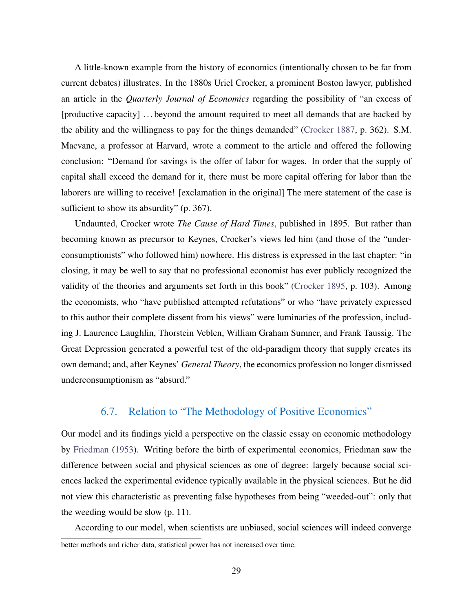A little-known example from the history of economics (intentionally chosen to be far from current debates) illustrates. In the 1880s Uriel Crocker, a prominent Boston lawyer, published an article in the *Quarterly Journal of Economics* regarding the possibility of "an excess of [productive capacity] ... beyond the amount required to meet all demands that are backed by the ability and the willingness to pay for the things demanded" [\(Crocker 1887,](#page-41-15) p. 362). S.M. Macvane, a professor at Harvard, wrote a comment to the article and offered the following conclusion: "Demand for savings is the offer of labor for wages. In order that the supply of capital shall exceed the demand for it, there must be more capital offering for labor than the laborers are willing to receive! [exclamation in the original] The mere statement of the case is sufficient to show its absurdity" (p. 367).

Undaunted, Crocker wrote *The Cause of Hard Times*, published in 1895. But rather than becoming known as precursor to Keynes, Crocker's views led him (and those of the "underconsumptionists" who followed him) nowhere. His distress is expressed in the last chapter: "in closing, it may be well to say that no professional economist has ever publicly recognized the validity of the theories and arguments set forth in this book" [\(Crocker 1895,](#page-41-16) p. 103). Among the economists, who "have published attempted refutations" or who "have privately expressed to this author their complete dissent from his views" were luminaries of the profession, including J. Laurence Laughlin, Thorstein Veblen, William Graham Sumner, and Frank Taussig. The Great Depression generated a powerful test of the old-paradigm theory that supply creates its own demand; and, after Keynes' *General Theory*, the economics profession no longer dismissed underconsumptionism as "absurd."

# 6.7. Relation to "The Methodology of Positive Economics"

Our model and its findings yield a perspective on the classic essay on economic methodology by [Friedman](#page-41-17) [\(1953\)](#page-41-17). Writing before the birth of experimental economics, Friedman saw the difference between social and physical sciences as one of degree: largely because social sciences lacked the experimental evidence typically available in the physical sciences. But he did not view this characteristic as preventing false hypotheses from being "weeded-out": only that the weeding would be slow (p. 11).

According to our model, when scientists are unbiased, social sciences will indeed converge better methods and richer data, statistical power has not increased over time.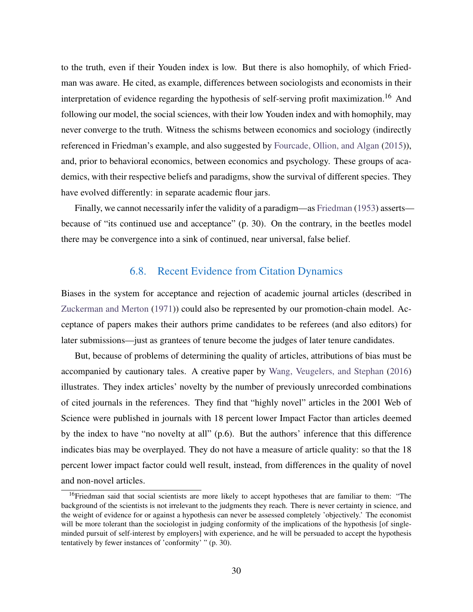to the truth, even if their Youden index is low. But there is also homophily, of which Friedman was aware. He cited, as example, differences between sociologists and economists in their interpretation of evidence regarding the hypothesis of self-serving profit maximization.<sup>16</sup> And following our model, the social sciences, with their low Youden index and with homophily, may never converge to the truth. Witness the schisms between economics and sociology (indirectly referenced in Friedman's example, and also suggested by [Fourcade, Ollion, and Algan](#page-41-18) [\(2015\)](#page-41-18)), and, prior to behavioral economics, between economics and psychology. These groups of academics, with their respective beliefs and paradigms, show the survival of different species. They have evolved differently: in separate academic flour jars.

Finally, we cannot necessarily infer the validity of a paradigm—as [Friedman](#page-41-17) [\(1953\)](#page-41-17) asserts because of "its continued use and acceptance" (p. 30). On the contrary, in the beetles model there may be convergence into a sink of continued, near universal, false belief.

#### 6.8. Recent Evidence from Citation Dynamics

Biases in the system for acceptance and rejection of academic journal articles (described in [Zuckerman and Merton](#page-43-9) [\(1971\)](#page-43-9)) could also be represented by our promotion-chain model. Acceptance of papers makes their authors prime candidates to be referees (and also editors) for later submissions—just as grantees of tenure become the judges of later tenure candidates.

But, because of problems of determining the quality of articles, attributions of bias must be accompanied by cautionary tales. A creative paper by [Wang, Veugelers, and Stephan](#page-43-10) [\(2016\)](#page-43-10) illustrates. They index articles' novelty by the number of previously unrecorded combinations of cited journals in the references. They find that "highly novel" articles in the 2001 Web of Science were published in journals with 18 percent lower Impact Factor than articles deemed by the index to have "no novelty at all" (p.6). But the authors' inference that this difference indicates bias may be overplayed. They do not have a measure of article quality: so that the 18 percent lower impact factor could well result, instead, from differences in the quality of novel and non-novel articles.

<sup>&</sup>lt;sup>16</sup>Friedman said that social scientists are more likely to accept hypotheses that are familiar to them: "The background of the scientists is not irrelevant to the judgments they reach. There is never certainty in science, and the weight of evidence for or against a hypothesis can never be assessed completely 'objectively.' The economist will be more tolerant than the sociologist in judging conformity of the implications of the hypothesis [of singleminded pursuit of self-interest by employers] with experience, and he will be persuaded to accept the hypothesis tentatively by fewer instances of 'conformity' " (p. 30).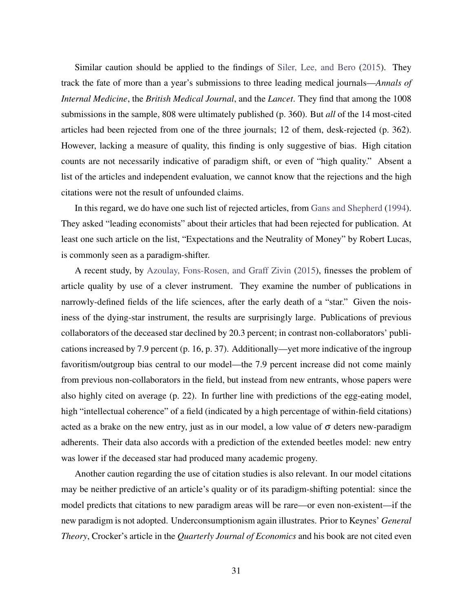Similar caution should be applied to the findings of [Siler, Lee, and Bero](#page-43-11) [\(2015\)](#page-43-11). They track the fate of more than a year's submissions to three leading medical journals—*Annals of Internal Medicine*, the *British Medical Journal*, and the *Lancet*. They find that among the 1008 submissions in the sample, 808 were ultimately published (p. 360). But *all* of the 14 most-cited articles had been rejected from one of the three journals; 12 of them, desk-rejected (p. 362). However, lacking a measure of quality, this finding is only suggestive of bias. High citation counts are not necessarily indicative of paradigm shift, or even of "high quality." Absent a list of the articles and independent evaluation, we cannot know that the rejections and the high citations were not the result of unfounded claims.

In this regard, we do have one such list of rejected articles, from [Gans and Shepherd](#page-41-19) [\(1994\)](#page-41-19). They asked "leading economists" about their articles that had been rejected for publication. At least one such article on the list, "Expectations and the Neutrality of Money" by Robert Lucas, is commonly seen as a paradigm-shifter.

A recent study, by [Azoulay, Fons-Rosen, and Graff Zivin](#page-40-14) [\(2015\)](#page-40-14), finesses the problem of article quality by use of a clever instrument. They examine the number of publications in narrowly-defined fields of the life sciences, after the early death of a "star." Given the noisiness of the dying-star instrument, the results are surprisingly large. Publications of previous collaborators of the deceased star declined by 20.3 percent; in contrast non-collaborators' publications increased by 7.9 percent (p. 16, p. 37). Additionally—yet more indicative of the ingroup favoritism/outgroup bias central to our model—the 7.9 percent increase did not come mainly from previous non-collaborators in the field, but instead from new entrants, whose papers were also highly cited on average (p. 22). In further line with predictions of the egg-eating model, high "intellectual coherence" of a field (indicated by a high percentage of within-field citations) acted as a brake on the new entry, just as in our model, a low value of  $\sigma$  deters new-paradigm adherents. Their data also accords with a prediction of the extended beetles model: new entry was lower if the deceased star had produced many academic progeny.

Another caution regarding the use of citation studies is also relevant. In our model citations may be neither predictive of an article's quality or of its paradigm-shifting potential: since the model predicts that citations to new paradigm areas will be rare—or even non-existent—if the new paradigm is not adopted. Underconsumptionism again illustrates. Prior to Keynes' *General Theory*, Crocker's article in the *Quarterly Journal of Economics* and his book are not cited even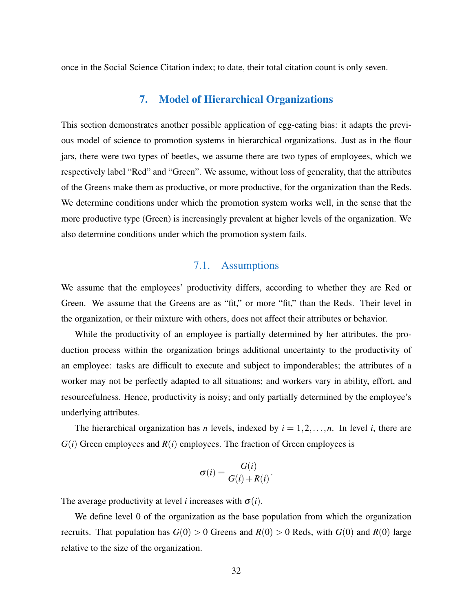once in the Social Science Citation index; to date, their total citation count is only seven.

## 7. Model of Hierarchical Organizations

This section demonstrates another possible application of egg-eating bias: it adapts the previous model of science to promotion systems in hierarchical organizations. Just as in the flour jars, there were two types of beetles, we assume there are two types of employees, which we respectively label "Red" and "Green". We assume, without loss of generality, that the attributes of the Greens make them as productive, or more productive, for the organization than the Reds. We determine conditions under which the promotion system works well, in the sense that the more productive type (Green) is increasingly prevalent at higher levels of the organization. We also determine conditions under which the promotion system fails.

## 7.1. Assumptions

We assume that the employees' productivity differs, according to whether they are Red or Green. We assume that the Greens are as "fit," or more "fit," than the Reds. Their level in the organization, or their mixture with others, does not affect their attributes or behavior.

While the productivity of an employee is partially determined by her attributes, the production process within the organization brings additional uncertainty to the productivity of an employee: tasks are difficult to execute and subject to imponderables; the attributes of a worker may not be perfectly adapted to all situations; and workers vary in ability, effort, and resourcefulness. Hence, productivity is noisy; and only partially determined by the employee's underlying attributes.

The hierarchical organization has *n* levels, indexed by  $i = 1, 2, \ldots, n$ . In level *i*, there are  $G(i)$  Green employees and  $R(i)$  employees. The fraction of Green employees is

$$
\sigma(i) = \frac{G(i)}{G(i) + R(i)}.
$$

The average productivity at level *i* increases with  $\sigma(i)$ .

We define level 0 of the organization as the base population from which the organization recruits. That population has  $G(0) > 0$  Greens and  $R(0) > 0$  Reds, with  $G(0)$  and  $R(0)$  large relative to the size of the organization.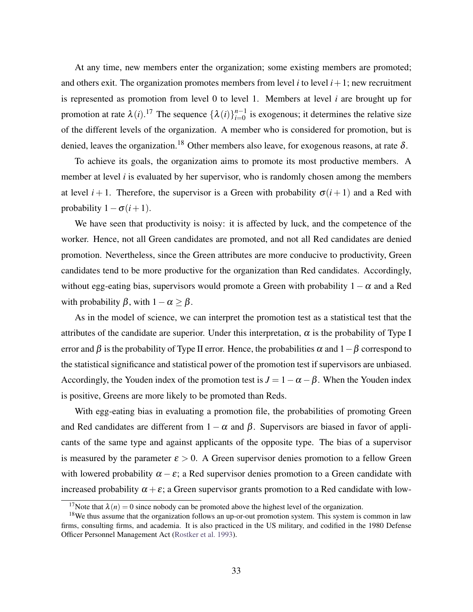At any time, new members enter the organization; some existing members are promoted; and others exit. The organization promotes members from level  $i$  to level  $i + 1$ ; new recruitment is represented as promotion from level 0 to level 1. Members at level *i* are brought up for promotion at rate  $\lambda(i)$ .<sup>17</sup> The sequence  $\{\lambda(i)\}_{i=0}^{n-1}$  is exogenous; it determines the relative size of the different levels of the organization. A member who is considered for promotion, but is denied, leaves the organization.<sup>18</sup> Other members also leave, for exogenous reasons, at rate  $\delta$ .

To achieve its goals, the organization aims to promote its most productive members. A member at level *i* is evaluated by her supervisor, who is randomly chosen among the members at level  $i+1$ . Therefore, the supervisor is a Green with probability  $\sigma(i+1)$  and a Red with probability  $1 - \sigma(i+1)$ .

We have seen that productivity is noisy: it is affected by luck, and the competence of the worker. Hence, not all Green candidates are promoted, and not all Red candidates are denied promotion. Nevertheless, since the Green attributes are more conducive to productivity, Green candidates tend to be more productive for the organization than Red candidates. Accordingly, without egg-eating bias, supervisors would promote a Green with probability  $1-\alpha$  and a Red with probability  $\beta$ , with  $1-\alpha \geq \beta$ .

As in the model of science, we can interpret the promotion test as a statistical test that the attributes of the candidate are superior. Under this interpretation,  $\alpha$  is the probability of Type I error and  $\beta$  is the probability of Type II error. Hence, the probabilities  $\alpha$  and  $1-\beta$  correspond to the statistical significance and statistical power of the promotion test if supervisors are unbiased. Accordingly, the Youden index of the promotion test is  $J = 1 - \alpha - \beta$ . When the Youden index is positive, Greens are more likely to be promoted than Reds.

With egg-eating bias in evaluating a promotion file, the probabilities of promoting Green and Red candidates are different from  $1 - \alpha$  and  $\beta$ . Supervisors are biased in favor of applicants of the same type and against applicants of the opposite type. The bias of a supervisor is measured by the parameter  $\epsilon > 0$ . A Green supervisor denies promotion to a fellow Green with lowered probability  $\alpha - \varepsilon$ ; a Red supervisor denies promotion to a Green candidate with increased probability  $\alpha + \varepsilon$ ; a Green supervisor grants promotion to a Red candidate with low-

<sup>&</sup>lt;sup>17</sup>Note that  $\lambda(n) = 0$  since nobody can be promoted above the highest level of the organization.

<sup>&</sup>lt;sup>18</sup>We thus assume that the organization follows an up-or-out promotion system. This system is common in law firms, consulting firms, and academia. It is also practiced in the US military, and codified in the 1980 Defense Officer Personnel Management Act [\(Rostker et al. 1993\)](#page-42-16).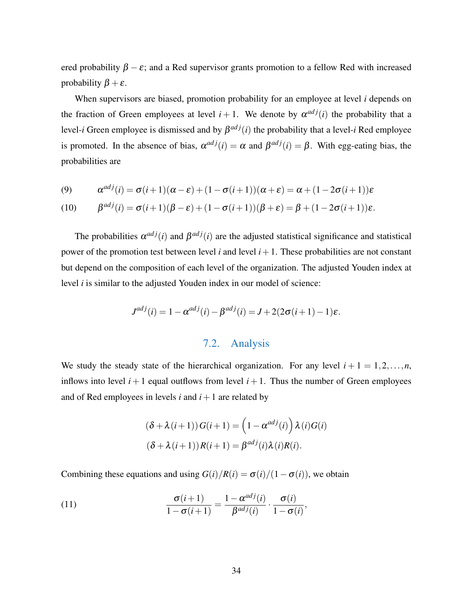ered probability  $\beta - \varepsilon$ ; and a Red supervisor grants promotion to a fellow Red with increased probability  $\beta + \varepsilon$ .

When supervisors are biased, promotion probability for an employee at level *i* depends on the fraction of Green employees at level  $i + 1$ . We denote by  $\alpha^{adj}(i)$  the probability that a level-*i* Green employee is dismissed and by  $\beta^{adj}(i)$  the probability that a level-*i* Red employee is promoted. In the absence of bias,  $\alpha^{adj}(i) = \alpha$  and  $\beta^{adj}(i) = \beta$ . With egg-eating bias, the probabilities are

<span id="page-35-1"></span><span id="page-35-0"></span>(9) 
$$
\alpha^{adj}(i) = \sigma(i+1)(\alpha - \varepsilon) + (1 - \sigma(i+1))(\alpha + \varepsilon) = \alpha + (1 - 2\sigma(i+1))\varepsilon
$$

(10) 
$$
\beta^{adj}(i) = \sigma(i+1)(\beta - \varepsilon) + (1 - \sigma(i+1))(\beta + \varepsilon) = \beta + (1 - 2\sigma(i+1))\varepsilon.
$$

The probabilities  $\alpha^{adj}(i)$  and  $\beta^{adj}(i)$  are the adjusted statistical significance and statistical power of the promotion test between level *i* and level  $i + 1$ . These probabilities are not constant but depend on the composition of each level of the organization. The adjusted Youden index at level *i* is similar to the adjusted Youden index in our model of science:

$$
J^{adj}(i) = 1 - \alpha^{adj}(i) - \beta^{adj}(i) = J + 2(2\sigma(i+1) - 1)\varepsilon.
$$

#### 7.2. Analysis

We study the steady state of the hierarchical organization. For any level  $i + 1 = 1, 2, \ldots, n$ , inflows into level  $i+1$  equal outflows from level  $i+1$ . Thus the number of Green employees and of Red employees in levels *i* and  $i + 1$  are related by

<span id="page-35-2"></span>
$$
(\delta + \lambda(i+1)) G(i+1) = \left(1 - \alpha^{adj}(i)\right) \lambda(i) G(i)
$$

$$
(\delta + \lambda(i+1)) R(i+1) = \beta^{adj}(i) \lambda(i) R(i).
$$

Combining these equations and using  $G(i)/R(i) = \sigma(i)/(1-\sigma(i))$ , we obtain

(11) 
$$
\frac{\sigma(i+1)}{1-\sigma(i+1)} = \frac{1-\alpha^{adj}(i)}{\beta^{adj}(i)} \cdot \frac{\sigma(i)}{1-\sigma(i)},
$$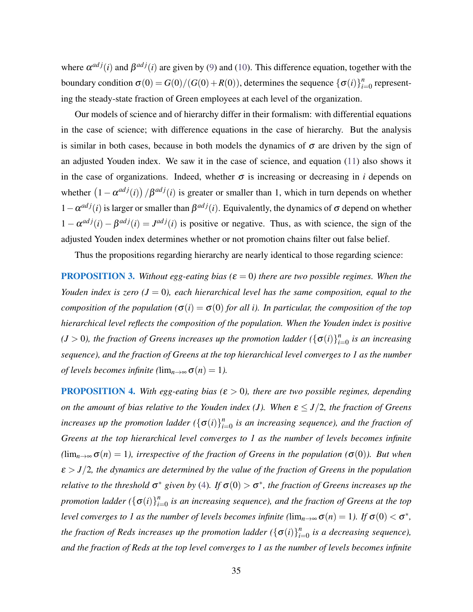where  $\alpha^{adj}(i)$  and  $\beta^{adj}(i)$  are given by [\(9\)](#page-35-0) and [\(10\)](#page-35-1). This difference equation, together with the boundary condition  $\sigma(0) = G(0)/(G(0) + R(0))$ , determines the sequence  $\{\sigma(i)\}_{i=1}^n$  $n_{i=0}^n$  representing the steady-state fraction of Green employees at each level of the organization.

Our models of science and of hierarchy differ in their formalism: with differential equations in the case of science; with difference equations in the case of hierarchy. But the analysis is similar in both cases, because in both models the dynamics of  $\sigma$  are driven by the sign of an adjusted Youden index. We saw it in the case of science, and equation [\(11\)](#page-35-2) also shows it in the case of organizations. Indeed, whether  $\sigma$  is increasing or decreasing in *i* depends on whether  $(1 - \alpha^{adj}(i)) / \beta^{adj}(i)$  is greater or smaller than 1, which in turn depends on whether  $1 - \alpha^{adj}(i)$  is larger or smaller than  $\beta^{adj}(i)$ . Equivalently, the dynamics of  $\sigma$  depend on whether  $1 - \alpha^{adj}(i) - \beta^{adj}(i) = J^{adj}(i)$  is positive or negative. Thus, as with science, the sign of the adjusted Youden index determines whether or not promotion chains filter out false belief.

Thus the propositions regarding hierarchy are nearly identical to those regarding science:

**PROPOSITION 3.** Without egg-eating bias ( $\varepsilon = 0$ ) there are two possible regimes. When the *Youden index is zero*  $(J = 0)$ *, each hierarchical level has the same composition, equal to the composition of the population*  $(\sigma(i) = \sigma(0))$  *for all i). In particular, the composition of the top hierarchical level reflects the composition of the population. When the Youden index is positive*  $(J > 0)$ , the fraction of Greens increases up the promotion ladder  $(\{\sigma(i)\}_{i=1}^n)$ *i*=0 *is an increasing sequence), and the fraction of Greens at the top hierarchical level converges to 1 as the number of levels becomes infinite (* $\lim_{n\to\infty} \sigma(n) = 1$ ).

**PROPOSITION 4.** With egg-eating bias ( $\varepsilon > 0$ ), there are two possible regimes, depending *on the amount of bias relative to the Youden index (J). When*  $\varepsilon \leq J/2$ , the fraction of Greens *increases up the promotion ladder*  $(\{\sigma(i)\}_{i=1}^n)$ *i*=0 *is an increasing sequence), and the fraction of Greens at the top hierarchical level converges to 1 as the number of levels becomes infinite*  $(\lim_{n\to\infty}\sigma(n)=1)$ , irrespective of the fraction of Greens in the population ( $\sigma(0)$ ). But when  $\varepsilon$  >  $J/2$ , the dynamics are determined by the value of the fraction of Greens in the population *relative to the threshold*  $\sigma^*$  given by [\(4\)](#page-12-1). If  $\sigma(0) > \sigma^*$ , the fraction of Greens increases up the *promotion ladder* ( $\{\sigma(i)\}_{i=1}^n$ *i*=0 *is an increasing sequence), and the fraction of Greens at the top level converges to 1 as the number of levels becomes infinite (* $\lim_{n\to\infty} \sigma(n) = 1$ ). If  $\sigma(0) < \sigma^*$ , *the fraction of Reds increases up the promotion ladder*  $(\{\sigma(i)\}_{i=1}^n)$  $\sum_{i=0}^{n}$  is a decreasing sequence), *and the fraction of Reds at the top level converges to 1 as the number of levels becomes infinite*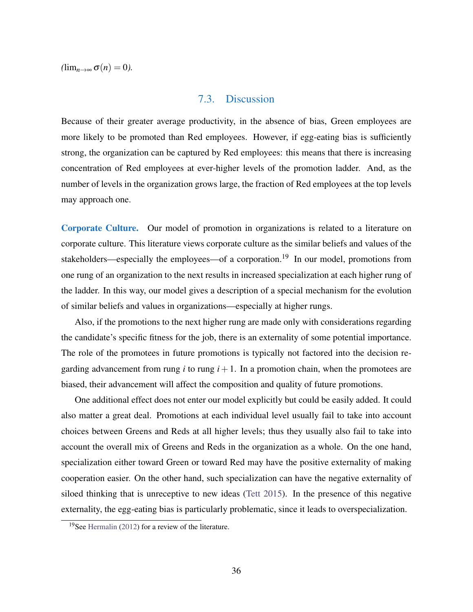$(\lim_{n\to\infty}\sigma(n)=0).$ 

### 7.3. Discussion

Because of their greater average productivity, in the absence of bias, Green employees are more likely to be promoted than Red employees. However, if egg-eating bias is sufficiently strong, the organization can be captured by Red employees: this means that there is increasing concentration of Red employees at ever-higher levels of the promotion ladder. And, as the number of levels in the organization grows large, the fraction of Red employees at the top levels may approach one.

Corporate Culture. Our model of promotion in organizations is related to a literature on corporate culture. This literature views corporate culture as the similar beliefs and values of the stakeholders—especially the employees—of a corporation.<sup>19</sup> In our model, promotions from one rung of an organization to the next results in increased specialization at each higher rung of the ladder. In this way, our model gives a description of a special mechanism for the evolution of similar beliefs and values in organizations—especially at higher rungs.

Also, if the promotions to the next higher rung are made only with considerations regarding the candidate's specific fitness for the job, there is an externality of some potential importance. The role of the promotees in future promotions is typically not factored into the decision regarding advancement from rung  $i$  to rung  $i+1$ . In a promotion chain, when the promotees are biased, their advancement will affect the composition and quality of future promotions.

One additional effect does not enter our model explicitly but could be easily added. It could also matter a great deal. Promotions at each individual level usually fail to take into account choices between Greens and Reds at all higher levels; thus they usually also fail to take into account the overall mix of Greens and Reds in the organization as a whole. On the one hand, specialization either toward Green or toward Red may have the positive externality of making cooperation easier. On the other hand, such specialization can have the negative externality of siloed thinking that is unreceptive to new ideas [\(Tett 2015\)](#page-43-12). In the presence of this negative externality, the egg-eating bias is particularly problematic, since it leads to overspecialization.

<sup>19</sup>See [Hermalin](#page-41-20) [\(2012\)](#page-41-20) for a review of the literature.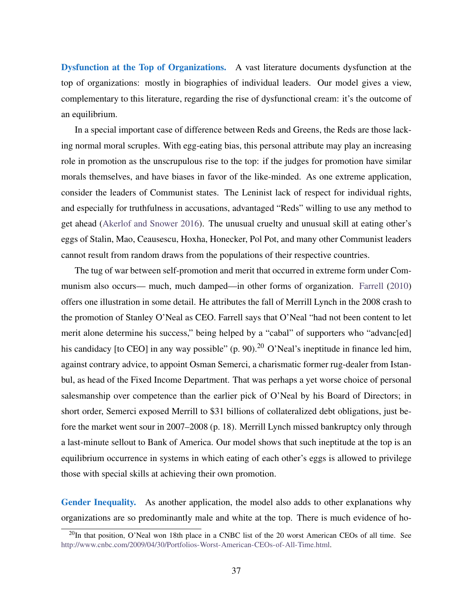Dysfunction at the Top of Organizations. A vast literature documents dysfunction at the top of organizations: mostly in biographies of individual leaders. Our model gives a view, complementary to this literature, regarding the rise of dysfunctional cream: it's the outcome of an equilibrium.

In a special important case of difference between Reds and Greens, the Reds are those lacking normal moral scruples. With egg-eating bias, this personal attribute may play an increasing role in promotion as the unscrupulous rise to the top: if the judges for promotion have similar morals themselves, and have biases in favor of the like-minded. As one extreme application, consider the leaders of Communist states. The Leninist lack of respect for individual rights, and especially for truthfulness in accusations, advantaged "Reds" willing to use any method to get ahead [\(Akerlof and Snower 2016\)](#page-40-15). The unusual cruelty and unusual skill at eating other's eggs of Stalin, Mao, Ceausescu, Hoxha, Honecker, Pol Pot, and many other Communist leaders cannot result from random draws from the populations of their respective countries.

The tug of war between self-promotion and merit that occurred in extreme form under Communism also occurs— much, much damped—in other forms of organization. [Farrell](#page-41-21) [\(2010\)](#page-41-21) offers one illustration in some detail. He attributes the fall of Merrill Lynch in the 2008 crash to the promotion of Stanley O'Neal as CEO. Farrell says that O'Neal "had not been content to let merit alone determine his success," being helped by a "cabal" of supporters who "advanc[ed] his candidacy [to CEO] in any way possible" (p. 90).<sup>20</sup> O'Neal's ineptitude in finance led him, against contrary advice, to appoint Osman Semerci, a charismatic former rug-dealer from Istanbul, as head of the Fixed Income Department. That was perhaps a yet worse choice of personal salesmanship over competence than the earlier pick of O'Neal by his Board of Directors; in short order, Semerci exposed Merrill to \$31 billions of collateralized debt obligations, just before the market went sour in 2007–2008 (p. 18). Merrill Lynch missed bankruptcy only through a last-minute sellout to Bank of America. Our model shows that such ineptitude at the top is an equilibrium occurrence in systems in which eating of each other's eggs is allowed to privilege those with special skills at achieving their own promotion.

Gender Inequality. As another application, the model also adds to other explanations why organizations are so predominantly male and white at the top. There is much evidence of ho-

<sup>&</sup>lt;sup>20</sup>In that position, O'Neal won 18th place in a CNBC list of the 20 worst American CEOs of all time. See [http://www.cnbc.com/2009/04/30/Portfolios-Worst-American-CEOs-of-All-Time.html.](http://www.cnbc.com/2009/04/30/Portfolios-Worst-American-CEOs-of-All-Time.html)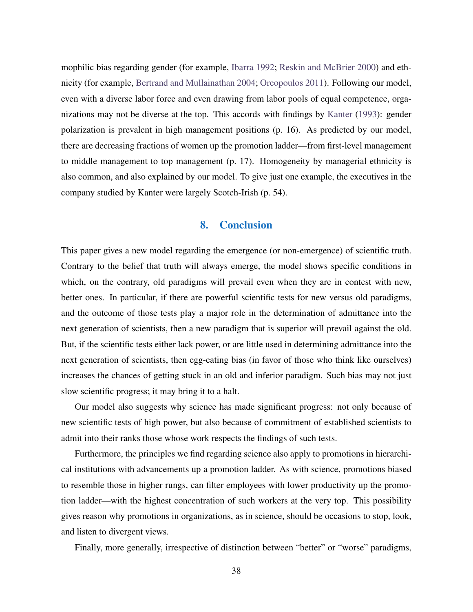mophilic bias regarding gender (for example, [Ibarra 1992;](#page-41-22) [Reskin and McBrier 2000\)](#page-42-17) and ethnicity (for example, [Bertrand and Mullainathan 2004;](#page-40-0) [Oreopoulos 2011\)](#page-42-3). Following our model, even with a diverse labor force and even drawing from labor pools of equal competence, organizations may not be diverse at the top. This accords with findings by [Kanter](#page-41-3) [\(1993\)](#page-41-3): gender polarization is prevalent in high management positions (p. 16). As predicted by our model, there are decreasing fractions of women up the promotion ladder—from first-level management to middle management to top management (p. 17). Homogeneity by managerial ethnicity is also common, and also explained by our model. To give just one example, the executives in the company studied by Kanter were largely Scotch-Irish (p. 54).

#### 8. Conclusion

This paper gives a new model regarding the emergence (or non-emergence) of scientific truth. Contrary to the belief that truth will always emerge, the model shows specific conditions in which, on the contrary, old paradigms will prevail even when they are in contest with new, better ones. In particular, if there are powerful scientific tests for new versus old paradigms, and the outcome of those tests play a major role in the determination of admittance into the next generation of scientists, then a new paradigm that is superior will prevail against the old. But, if the scientific tests either lack power, or are little used in determining admittance into the next generation of scientists, then egg-eating bias (in favor of those who think like ourselves) increases the chances of getting stuck in an old and inferior paradigm. Such bias may not just slow scientific progress; it may bring it to a halt.

Our model also suggests why science has made significant progress: not only because of new scientific tests of high power, but also because of commitment of established scientists to admit into their ranks those whose work respects the findings of such tests.

Furthermore, the principles we find regarding science also apply to promotions in hierarchical institutions with advancements up a promotion ladder. As with science, promotions biased to resemble those in higher rungs, can filter employees with lower productivity up the promotion ladder—with the highest concentration of such workers at the very top. This possibility gives reason why promotions in organizations, as in science, should be occasions to stop, look, and listen to divergent views.

Finally, more generally, irrespective of distinction between "better" or "worse" paradigms,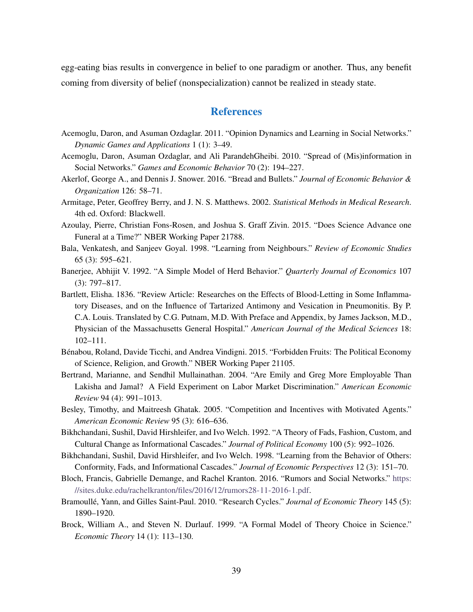egg-eating bias results in convergence in belief to one paradigm or another. Thus, any benefit coming from diversity of belief (nonspecialization) cannot be realized in steady state.

### **References**

- <span id="page-40-6"></span>Acemoglu, Daron, and Asuman Ozdaglar. 2011. "Opinion Dynamics and Learning in Social Networks." *Dynamic Games and Applications* 1 (1): 3–49.
- <span id="page-40-10"></span>Acemoglu, Daron, Asuman Ozdaglar, and Ali ParandehGheibi. 2010. "Spread of (Mis)information in Social Networks." *Games and Economic Behavior* 70 (2): 194–227.
- <span id="page-40-15"></span>Akerlof, George A., and Dennis J. Snower. 2016. "Bread and Bullets." *Journal of Economic Behavior & Organization* 126: 58–71.
- <span id="page-40-12"></span>Armitage, Peter, Geoffrey Berry, and J. N. S. Matthews. 2002. *Statistical Methods in Medical Research*. 4th ed. Oxford: Blackwell.
- <span id="page-40-14"></span>Azoulay, Pierre, Christian Fons-Rosen, and Joshua S. Graff Zivin. 2015. "Does Science Advance one Funeral at a Time?" NBER Working Paper 21788.
- <span id="page-40-9"></span>Bala, Venkatesh, and Sanjeev Goyal. 1998. "Learning from Neighbours." *Review of Economic Studies* 65 (3): 595–621.
- <span id="page-40-7"></span>Banerjee, Abhijit V. 1992. "A Simple Model of Herd Behavior." *Quarterly Journal of Economics* 107 (3): 797–817.
- <span id="page-40-13"></span>Bartlett, Elisha. 1836. "Review Article: Researches on the Effects of Blood-Letting in Some Inflammatory Diseases, and on the Influence of Tartarized Antimony and Vesication in Pneumonitis. By P. C.A. Louis. Translated by C.G. Putnam, M.D. With Preface and Appendix, by James Jackson, M.D., Physician of the Massachusetts General Hospital." *American Journal of the Medical Sciences* 18: 102–111.
- <span id="page-40-1"></span>Bénabou, Roland, Davide Ticchi, and Andrea Vindigni. 2015. "Forbidden Fruits: The Political Economy of Science, Religion, and Growth." NBER Working Paper 21105.
- <span id="page-40-0"></span>Bertrand, Marianne, and Sendhil Mullainathan. 2004. "Are Emily and Greg More Employable Than Lakisha and Jamal? A Field Experiment on Labor Market Discrimination." *American Economic Review* 94 (4): 991–1013.
- <span id="page-40-4"></span>Besley, Timothy, and Maitreesh Ghatak. 2005. "Competition and Incentives with Motivated Agents." *American Economic Review* 95 (3): 616–636.
- <span id="page-40-8"></span>Bikhchandani, Sushil, David Hirshleifer, and Ivo Welch. 1992. "A Theory of Fads, Fashion, Custom, and Cultural Change as Informational Cascades." *Journal of Political Economy* 100 (5): 992–1026.
- <span id="page-40-5"></span>Bikhchandani, Sushil, David Hirshleifer, and Ivo Welch. 1998. "Learning from the Behavior of Others: Conformity, Fads, and Informational Cascades." *Journal of Economic Perspectives* 12 (3): 151–70.
- <span id="page-40-11"></span>Bloch, Francis, Gabrielle Demange, and Rachel Kranton. 2016. "Rumors and Social Networks." [https:](https://sites.duke.edu/rachelkranton/files/2016/12/rumors28-11-2016-1.pdf) [//sites.duke.edu/rachelkranton/files/2016/12/rumors28-11-2016-1.pdf.](https://sites.duke.edu/rachelkranton/files/2016/12/rumors28-11-2016-1.pdf)
- <span id="page-40-3"></span>Bramoullé, Yann, and Gilles Saint-Paul. 2010. "Research Cycles." *Journal of Economic Theory* 145 (5): 1890–1920.
- <span id="page-40-2"></span>Brock, William A., and Steven N. Durlauf. 1999. "A Formal Model of Theory Choice in Science." *Economic Theory* 14 (1): 113–130.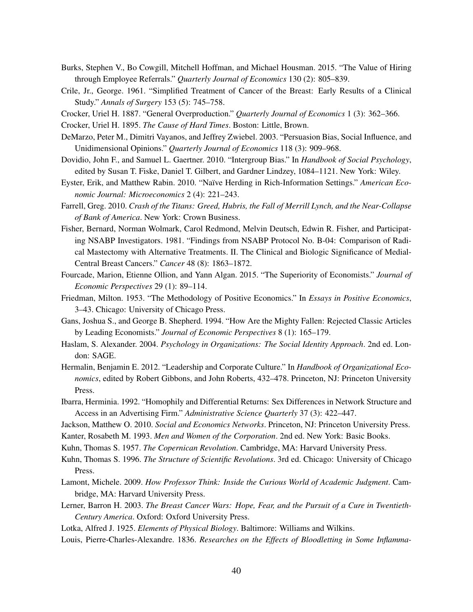- <span id="page-41-4"></span>Burks, Stephen V., Bo Cowgill, Mitchell Hoffman, and Michael Housman. 2015. "The Value of Hiring through Employee Referrals." *Quarterly Journal of Economics* 130 (2): 805–839.
- <span id="page-41-13"></span>Crile, Jr., George. 1961. "Simplified Treatment of Cancer of the Breast: Early Results of a Clinical Study." *Annals of Surgery* 153 (5): 745–758.
- <span id="page-41-15"></span>Crocker, Uriel H. 1887. "General Overproduction." *Quarterly Journal of Economics* 1 (3): 362–366.
- <span id="page-41-16"></span>Crocker, Uriel H. 1895. *The Cause of Hard Times*. Boston: Little, Brown.
- <span id="page-41-9"></span>DeMarzo, Peter M., Dimitri Vayanos, and Jeffrey Zwiebel. 2003. "Persuasion Bias, Social Influence, and Unidimensional Opinions." *Quarterly Journal of Economics* 118 (3): 909–968.
- <span id="page-41-6"></span>Dovidio, John F., and Samuel L. Gaertner. 2010. "Intergroup Bias." In *Handbook of Social Psychology*, edited by Susan T. Fiske, Daniel T. Gilbert, and Gardner Lindzey, 1084–1121. New York: Wiley.
- <span id="page-41-8"></span>Eyster, Erik, and Matthew Rabin. 2010. "Naïve Herding in Rich-Information Settings." *American Economic Journal: Microeconomics* 2 (4): 221–243.
- <span id="page-41-21"></span>Farrell, Greg. 2010. *Crash of the Titans: Greed, Hubris, the Fall of Merrill Lynch, and the Near-Collapse of Bank of America*. New York: Crown Business.
- <span id="page-41-14"></span>Fisher, Bernard, Norman Wolmark, Carol Redmond, Melvin Deutsch, Edwin R. Fisher, and Participating NSABP Investigators. 1981. "Findings from NSABP Protocol No. B-04: Comparison of Radical Mastectomy with Alternative Treatments. II. The Clinical and Biologic Significance of Medial-Central Breast Cancers." *Cancer* 48 (8): 1863–1872.
- <span id="page-41-18"></span>Fourcade, Marion, Etienne Ollion, and Yann Algan. 2015. "The Superiority of Economists." *Journal of Economic Perspectives* 29 (1): 89–114.
- <span id="page-41-17"></span>Friedman, Milton. 1953. "The Methodology of Positive Economics." In *Essays in Positive Economics*, 3–43. Chicago: University of Chicago Press.
- <span id="page-41-19"></span>Gans, Joshua S., and George B. Shepherd. 1994. "How Are the Mighty Fallen: Rejected Classic Articles by Leading Economists." *Journal of Economic Perspectives* 8 (1): 165–179.
- <span id="page-41-5"></span>Haslam, S. Alexander. 2004. *Psychology in Organizations: The Social Identity Approach*. 2nd ed. London: SAGE.
- <span id="page-41-20"></span>Hermalin, Benjamin E. 2012. "Leadership and Corporate Culture." In *Handbook of Organizational Economics*, edited by Robert Gibbons, and John Roberts, 432–478. Princeton, NJ: Princeton University Press.
- <span id="page-41-22"></span>Ibarra, Herminia. 1992. "Homophily and Differential Returns: Sex Differences in Network Structure and Access in an Advertising Firm." *Administrative Science Quarterly* 37 (3): 422–447.
- <span id="page-41-7"></span><span id="page-41-3"></span>Jackson, Matthew O. 2010. *Social and Economics Networks*. Princeton, NJ: Princeton University Press.
- <span id="page-41-1"></span>Kanter, Rosabeth M. 1993. *Men and Women of the Corporation*. 2nd ed. New York: Basic Books.
- Kuhn, Thomas S. 1957. *The Copernican Revolution*. Cambridge, MA: Harvard University Press.
- <span id="page-41-0"></span>Kuhn, Thomas S. 1996. *The Structure of Scientific Revolutions*. 3rd ed. Chicago: University of Chicago Press.
- <span id="page-41-2"></span>Lamont, Michele. 2009. *How Professor Think: Inside the Curious World of Academic Judgment*. Cambridge, MA: Harvard University Press.
- <span id="page-41-12"></span>Lerner, Barron H. 2003. *The Breast Cancer Wars: Hope, Fear, and the Pursuit of a Cure in Twentieth-Century America*. Oxford: Oxford University Press.
- <span id="page-41-10"></span>Lotka, Alfred J. 1925. *Elements of Physical Biology*. Baltimore: Williams and Wilkins.
- <span id="page-41-11"></span>Louis, Pierre-Charles-Alexandre. 1836. *Researches on the Effects of Bloodletting in Some Inflamma-*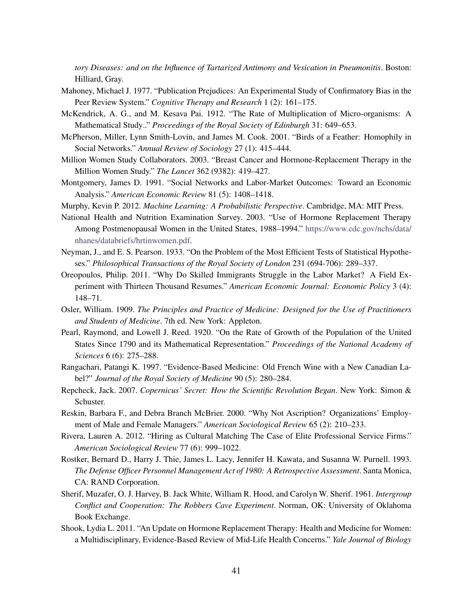*tory Diseases: and on the Influence of Tartarized Antimony and Vesication in Pneumonitis*. Boston: Hilliard, Gray.

- <span id="page-42-1"></span>Mahoney, Michael J. 1977. "Publication Prejudices: An Experimental Study of Confirmatory Bias in the Peer Review System." *Cognitive Therapy and Research* 1 (2): 161–175.
- <span id="page-42-8"></span>McKendrick, A. G., and M. Kesava Pai. 1912. "The Rate of Multiplication of Micro-organisms: A Mathematical Study.." *Proceedings of the Royal Society of Edinburgh* 31: 649–653.
- <span id="page-42-4"></span>McPherson, Miller, Lynn Smith-Lovin, and James M. Cook. 2001. "Birds of a Feather: Homophily in Social Networks." *Annual Review of Sociology* 27 (1): 415–444.
- <span id="page-42-15"></span>Million Women Study Collaborators. 2003. "Breast Cancer and Hormone-Replacement Therapy in the Million Women Study." *The Lancet* 362 (9382): 419–427.
- <span id="page-42-5"></span>Montgomery, James D. 1991. "Social Networks and Labor-Market Outcomes: Toward an Economic Analysis." *American Economic Review* 81 (5): 1408–1418.
- <span id="page-42-7"></span>Murphy, Kevin P. 2012. *Machine Learning: A Probabilistic Perspective*. Cambridge, MA: MIT Press.
- <span id="page-42-14"></span>National Health and Nutrition Examination Survey. 2003. "Use of Hormone Replacement Therapy Among Postmenopausal Women in the United States, 1988–1994." [https://www.cdc.gov/nchs/data/](https://www.cdc.gov/nchs/data/nhanes/databriefs/hrtinwomen.pdf) [nhanes/databriefs/hrtinwomen.pdf.](https://www.cdc.gov/nchs/data/nhanes/databriefs/hrtinwomen.pdf)
- <span id="page-42-6"></span>Neyman, J., and E. S. Pearson. 1933. "On the Problem of the Most Efficient Tests of Statistical Hypotheses." *Philosophical Transactions of the Royal Society of London* 231 (694-706): 289–337.
- <span id="page-42-3"></span>Oreopoulos, Philip. 2011. "Why Do Skilled Immigrants Struggle in the Labor Market? A Field Experiment with Thirteen Thousand Resumes." *American Economic Journal: Economic Policy* 3 (4): 148–71.
- <span id="page-42-12"></span>Osler, William. 1909. *The Principles and Practice of Medicine: Designed for the Use of Practitioners and Students of Medicine*. 7th ed. New York: Appleton.
- <span id="page-42-9"></span>Pearl, Raymond, and Lowell J. Reed. 1920. "On the Rate of Growth of the Population of the United States Since 1790 and its Mathematical Representation." *Proceedings of the National Academy of Sciences* 6 (6): 275–288.
- <span id="page-42-11"></span>Rangachari, Patangi K. 1997. "Evidence-Based Medicine: Old French Wine with a New Canadian Label?" *Journal of the Royal Society of Medicine* 90 (5): 280–284.
- <span id="page-42-10"></span>Repcheck, Jack. 2007. *Copernicus' Secret: How the Scientific Revolution Began*. New York: Simon & Schuster.
- <span id="page-42-17"></span>Reskin, Barbara F., and Debra Branch McBrier. 2000. "Why Not Ascription? Organizations' Employment of Male and Female Managers." *American Sociological Review* 65 (2): 210–233.
- <span id="page-42-2"></span>Rivera, Lauren A. 2012. "Hiring as Cultural Matching The Case of Elite Professional Service Firms." *American Sociological Review* 77 (6): 999–1022.
- <span id="page-42-16"></span>Rostker, Bernard D., Harry J. Thie, James L. Lacy, Jennifer H. Kawata, and Susanna W. Purnell. 1993. *The Defense Officer Personnel Management Act of 1980: A Retrospective Assessment*. Santa Monica, CA: RAND Corporation.
- <span id="page-42-0"></span>Sherif, Muzafer, O. J. Harvey, B. Jack White, William R. Hood, and Carolyn W. Sherif. 1961. *Intergroup Conflict and Cooperation: The Robbers Cave Experiment*. Norman, OK: University of Oklahoma Book Exchange.
- <span id="page-42-13"></span>Shook, Lydia L. 2011. "An Update on Hormone Replacement Therapy: Health and Medicine for Women: a Multidisciplinary, Evidence-Based Review of Mid-Life Health Concerns." *Yale Journal of Biology*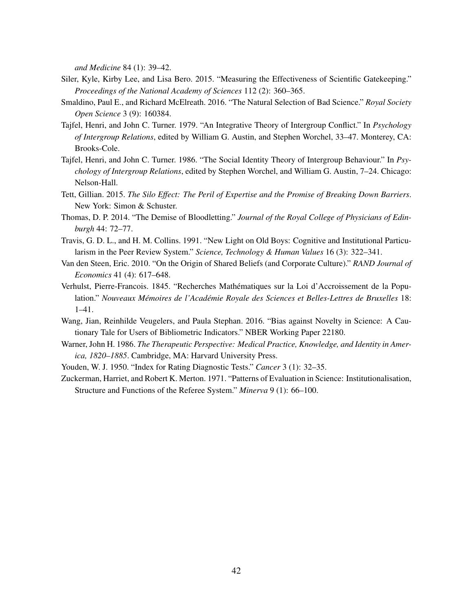*and Medicine* 84 (1): 39–42.

- <span id="page-43-11"></span>Siler, Kyle, Kirby Lee, and Lisa Bero. 2015. "Measuring the Effectiveness of Scientific Gatekeeping." *Proceedings of the National Academy of Sciences* 112 (2): 360–365.
- <span id="page-43-8"></span>Smaldino, Paul E., and Richard McElreath. 2016. "The Natural Selection of Bad Science." *Royal Society Open Science* 3 (9): 160384.
- <span id="page-43-1"></span>Tajfel, Henri, and John C. Turner. 1979. "An Integrative Theory of Intergroup Conflict." In *Psychology of Intergroup Relations*, edited by William G. Austin, and Stephen Worchel, 33–47. Monterey, CA: Brooks-Cole.
- <span id="page-43-2"></span>Tajfel, Henri, and John C. Turner. 1986. "The Social Identity Theory of Intergroup Behaviour." In *Psychology of Intergroup Relations*, edited by Stephen Worchel, and William G. Austin, 7–24. Chicago: Nelson-Hall.
- <span id="page-43-12"></span>Tett, Gillian. 2015. *The Silo Effect: The Peril of Expertise and the Promise of Breaking Down Barriers*. New York: Simon & Schuster.
- <span id="page-43-6"></span>Thomas, D. P. 2014. "The Demise of Bloodletting." *Journal of the Royal College of Physicians of Edinburgh* 44: 72–77.
- <span id="page-43-3"></span>Travis, G. D. L., and H. M. Collins. 1991. "New Light on Old Boys: Cognitive and Institutional Particularism in the Peer Review System." *Science, Technology & Human Values* 16 (3): 322–341.
- <span id="page-43-4"></span>Van den Steen, Eric. 2010. "On the Origin of Shared Beliefs (and Corporate Culture)." *RAND Journal of Economics* 41 (4): 617–648.
- <span id="page-43-5"></span>Verhulst, Pierre-Francois. 1845. "Recherches Mathematiques sur la Loi d'Accroissement de la Popu- ´ lation." *Nouveaux Memoires de l'Acad ´ emie Royale des Sciences et Belles-Lettres de Bruxelles ´* 18: 1–41.
- <span id="page-43-10"></span>Wang, Jian, Reinhilde Veugelers, and Paula Stephan. 2016. "Bias against Novelty in Science: A Cautionary Tale for Users of Bibliometric Indicators." NBER Working Paper 22180.
- <span id="page-43-7"></span>Warner, John H. 1986. *The Therapeutic Perspective: Medical Practice, Knowledge, and Identity in America, 1820–1885*. Cambridge, MA: Harvard University Press.
- <span id="page-43-0"></span>Youden, W. J. 1950. "Index for Rating Diagnostic Tests." *Cancer* 3 (1): 32–35.
- <span id="page-43-9"></span>Zuckerman, Harriet, and Robert K. Merton. 1971. "Patterns of Evaluation in Science: Institutionalisation, Structure and Functions of the Referee System." *Minerva* 9 (1): 66–100.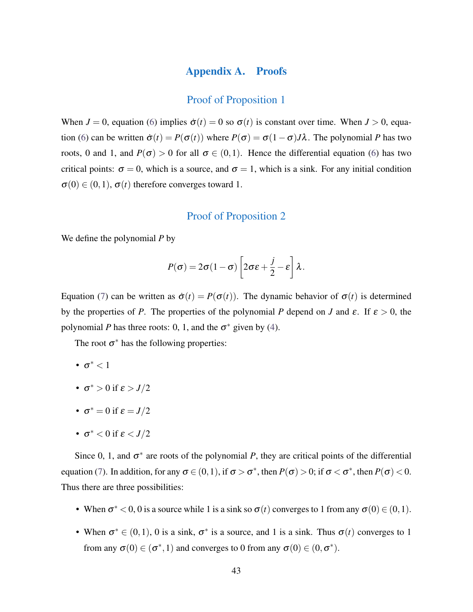#### Appendix A. Proofs

#### Proof of Proposition 1

<span id="page-44-0"></span>When  $J = 0$ , equation [\(6\)](#page-14-0) implies  $\dot{\sigma}(t) = 0$  so  $\sigma(t)$  is constant over time. When  $J > 0$ , equa-tion [\(6\)](#page-14-0) can be written  $\dot{\sigma}(t) = P(\sigma(t))$  where  $P(\sigma) = \sigma(1-\sigma)J\lambda$ . The polynomial *P* has two roots, 0 and 1, and  $P(\sigma) > 0$  for all  $\sigma \in (0,1)$ . Hence the differential equation [\(6\)](#page-14-0) has two critical points:  $\sigma = 0$ , which is a source, and  $\sigma = 1$ , which is a sink. For any initial condition  $\sigma(0) \in (0,1)$ ,  $\sigma(t)$  therefore converges toward 1.

#### Proof of Proposition 2

We define the polynomial *P* by

$$
P(\sigma) = 2\sigma(1-\sigma)\left[2\sigma\varepsilon + \frac{j}{2} - \varepsilon\right]\lambda.
$$

Equation [\(7\)](#page-15-0) can be written as  $\dot{\sigma}(t) = P(\sigma(t))$ . The dynamic behavior of  $\sigma(t)$  is determined by the properties of *P*. The properties of the polynomial *P* depend on *J* and  $\varepsilon$ . If  $\varepsilon > 0$ , the polynomial *P* has three roots: 0, 1, and the  $\sigma^*$  given by [\(4\)](#page-12-1).

The root  $\sigma^*$  has the following properties:

- $\sigma^*$  < 1
- $\sigma^* > 0$  if  $\varepsilon > J/2$
- $\sigma^* = 0$  if  $\varepsilon = J/2$
- $\bullet$   $\sigma^*$   $<$   $0$  if  $\varepsilon$   $<$   $J/2$

Since 0, 1, and  $\sigma^*$  are roots of the polynomial *P*, they are critical points of the differential equation [\(7\)](#page-15-0). In addition, for any  $\sigma \in (0,1)$ , if  $\sigma > \sigma^*$ , then  $P(\sigma) > 0$ ; if  $\sigma < \sigma^*$ , then  $P(\sigma) < 0$ . Thus there are three possibilities:

- When  $\sigma^*$  < 0, 0 is a source while 1 is a sink so  $\sigma(t)$  converges to 1 from any  $\sigma(0) \in (0,1)$ .
- When  $\sigma^* \in (0,1)$ , 0 is a sink,  $\sigma^*$  is a source, and 1 is a sink. Thus  $\sigma(t)$  converges to 1 from any  $\sigma(0) \in (\sigma^*, 1)$  and converges to 0 from any  $\sigma(0) \in (0, \sigma^*)$ .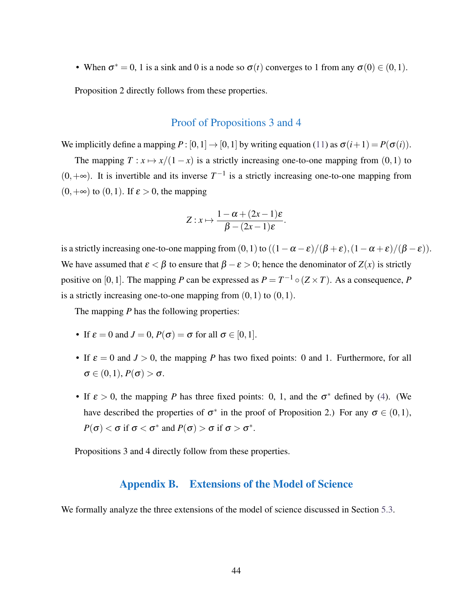• When  $\sigma^* = 0$ , 1 is a sink and 0 is a node so  $\sigma(t)$  converges to 1 from any  $\sigma(0) \in (0,1)$ .

Proposition 2 directly follows from these properties.

#### Proof of Propositions 3 and 4

We implicitly define a mapping  $P : [0,1] \rightarrow [0,1]$  by writing equation [\(11\)](#page-35-2) as  $\sigma(i+1) = P(\sigma(i))$ .

The mapping  $T: x \mapsto x/(1-x)$  is a strictly increasing one-to-one mapping from  $(0,1)$  to  $(0, +∞)$ . It is invertible and its inverse  $T^{-1}$  is a strictly increasing one-to-one mapping from  $(0, +\infty)$  to  $(0, 1)$ . If  $\varepsilon > 0$ , the mapping

$$
Z: x \mapsto \frac{1-\alpha+(2x-1)\varepsilon}{\beta-(2x-1)\varepsilon}.
$$

is a strictly increasing one-to-one mapping from  $(0,1)$  to  $((1-\alpha-\varepsilon)/(\beta+\varepsilon),(1-\alpha+\varepsilon)/(\beta-\varepsilon)).$ We have assumed that  $\epsilon < \beta$  to ensure that  $\beta - \epsilon > 0$ ; hence the denominator of  $Z(x)$  is strictly positive on [0, 1]. The mapping *P* can be expressed as  $P = T^{-1} \circ (Z \times T)$ . As a consequence, *P* is a strictly increasing one-to-one mapping from  $(0,1)$  to  $(0,1)$ .

The mapping *P* has the following properties:

- If  $\varepsilon = 0$  and  $J = 0$ ,  $P(\sigma) = \sigma$  for all  $\sigma \in [0, 1]$ .
- If  $\varepsilon = 0$  and  $J > 0$ , the mapping *P* has two fixed points: 0 and 1. Furthermore, for all  $\sigma \in (0,1), P(\sigma) > \sigma.$
- If  $\varepsilon > 0$ , the mapping *P* has three fixed points: 0, 1, and the  $\sigma^*$  defined by [\(4\)](#page-12-1). (We have described the properties of  $\sigma^*$  in the proof of Proposition 2.) For any  $\sigma \in (0,1)$ ,  $P(\sigma) < \sigma$  if  $\sigma < \sigma^*$  and  $P(\sigma) > \sigma$  if  $\sigma > \sigma^*$ .

<span id="page-45-0"></span>Propositions 3 and 4 directly follow from these properties.

### Appendix B. Extensions of the Model of Science

We formally analyze the three extensions of the model of science discussed in Section [5.3.](#page-19-0)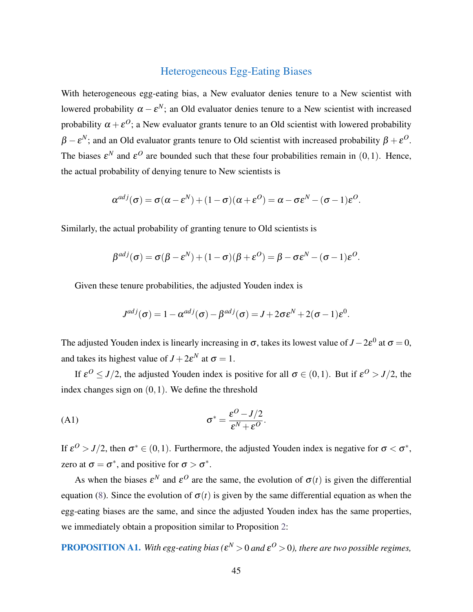## Heterogeneous Egg-Eating Biases

With heterogeneous egg-eating bias, a New evaluator denies tenure to a New scientist with lowered probability  $\alpha - \varepsilon^N$ ; an Old evaluator denies tenure to a New scientist with increased probability  $\alpha+\varepsilon^O;$  a New evaluator grants tenure to an Old scientist with lowered probability  $\beta - \varepsilon^N$ ; and an Old evaluator grants tenure to Old scientist with increased probability  $\beta + \varepsilon^O$ . The biases  $\varepsilon^N$  and  $\varepsilon^O$  are bounded such that these four probabilities remain in  $(0,1)$ . Hence, the actual probability of denying tenure to New scientists is

$$
\alpha^{adj}(\sigma) = \sigma(\alpha - \varepsilon^N) + (1 - \sigma)(\alpha + \varepsilon^O) = \alpha - \sigma \varepsilon^N - (\sigma - 1)\varepsilon^O.
$$

Similarly, the actual probability of granting tenure to Old scientists is

$$
\beta^{adj}(\sigma) = \sigma(\beta - \varepsilon^N) + (1 - \sigma)(\beta + \varepsilon^O) = \beta - \sigma \varepsilon^N - (\sigma - 1)\varepsilon^O.
$$

Given these tenure probabilities, the adjusted Youden index is

<span id="page-46-0"></span>
$$
J^{adj}(\sigma) = 1 - \alpha^{adj}(\sigma) - \beta^{adj}(\sigma) = J + 2\sigma \varepsilon^{N} + 2(\sigma - 1)\varepsilon^{0}.
$$

The adjusted Youden index is linearly increasing in  $\sigma$ , takes its lowest value of *J* − 2 $\varepsilon^0$  at  $\sigma$  = 0, and takes its highest value of  $J + 2\varepsilon^N$  at  $\sigma = 1$ .

If  $\varepsilon^0 \leq J/2$ , the adjusted Youden index is positive for all  $\sigma \in (0,1)$ . But if  $\varepsilon^0 > J/2$ , the index changes sign on (0,1). We define the threshold

$$
\sigma^* = \frac{\varepsilon^O - J/2}{\varepsilon^N + \varepsilon^O}.
$$

If  $\varepsilon^0 > J/2$ , then  $\sigma^* \in (0,1)$ . Furthermore, the adjusted Youden index is negative for  $\sigma < \sigma^*$ , zero at  $\sigma = \sigma^*$ , and positive for  $\sigma > \sigma^*$ .

As when the biases  $\varepsilon^N$  and  $\varepsilon^O$  are the same, the evolution of  $\sigma(t)$  is given the differential equation [\(8\)](#page-16-0). Since the evolution of  $\sigma(t)$  is given by the same differential equation as when the egg-eating biases are the same, and since the adjusted Youden index has the same properties, we immediately obtain a proposition similar to Proposition [2:](#page-16-1)

**PROPOSITION A1.** With egg-eating bias ( $\epsilon^N > 0$  and  $\epsilon^O > 0$ ), there are two possible regimes,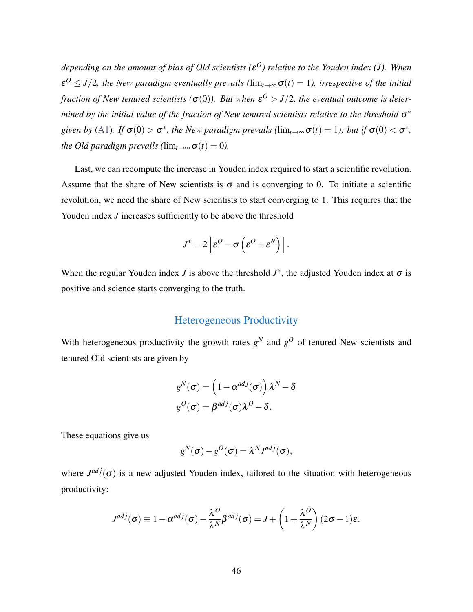*depending on the amount of bias of Old scientists (*ε *<sup>O</sup>) relative to the Youden index (J). When*  $\varepsilon^{O} \leq J/2$ , the New paradigm eventually prevails ( $\lim_{t\to\infty} \sigma(t) = 1$ ), irrespective of the initial *fraction of New tenured scientists* ( $\sigma(0)$ ). But when  $\varepsilon^O > J/2$ , the eventual outcome is determined by the initial value of the fraction of New tenured scientists relative to the threshold  $\sigma^*$ *given by* [\(A1\)](#page-46-0). If  $\sigma(0) > \sigma^*$ , the New paradigm prevails ( $\lim_{t\to\infty} \sigma(t) = 1$ ); but if  $\sigma(0) < \sigma^*$ , *the Old paradigm prevails (* $\lim_{t\to\infty} \sigma(t) = 0$ ).

Last, we can recompute the increase in Youden index required to start a scientific revolution. Assume that the share of New scientists is  $\sigma$  and is converging to 0. To initiate a scientific revolution, we need the share of New scientists to start converging to 1. This requires that the Youden index *J* increases sufficiently to be above the threshold

$$
J^* = 2\left[\varepsilon^O - \sigma\left(\varepsilon^O + \varepsilon^N\right)\right].
$$

When the regular Youden index *J* is above the threshold  $J^*$ , the adjusted Youden index at  $\sigma$  is positive and science starts converging to the truth.

## Heterogeneous Productivity

With heterogeneous productivity the growth rates  $g<sup>N</sup>$  and  $g<sup>O</sup>$  of tenured New scientists and tenured Old scientists are given by

$$
g^N(\sigma) = \left(1 - \alpha^{adj}(\sigma)\right)\lambda^N - \delta
$$

$$
g^O(\sigma) = \beta^{adj}(\sigma)\lambda^O - \delta.
$$

These equations give us

$$
g^N(\sigma) - g^O(\sigma) = \lambda^N J^{adj}(\sigma),
$$

where  $J^{adj}(\sigma)$  is a new adjusted Youden index, tailored to the situation with heterogeneous productivity:

$$
J^{adj}(\sigma) \equiv 1 - \alpha^{adj}(\sigma) - \frac{\lambda^O}{\lambda^N} \beta^{adj}(\sigma) = J + \left(1 + \frac{\lambda^O}{\lambda^N}\right) (2\sigma - 1)\varepsilon.
$$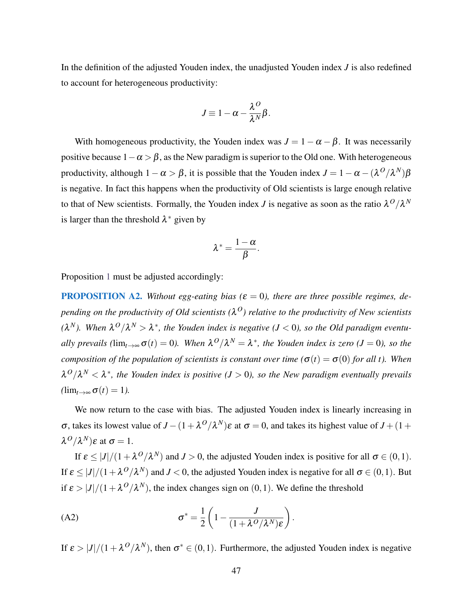In the definition of the adjusted Youden index, the unadjusted Youden index *J* is also redefined to account for heterogeneous productivity:

$$
J\equiv 1-\alpha-\frac{\lambda^O}{\lambda^N}\beta.
$$

With homogeneous productivity, the Youden index was  $J = 1 - \alpha - \beta$ . It was necessarily positive because  $1-\alpha > \beta$ , as the New paradigm is superior to the Old one. With heterogeneous productivity, although  $1 - \alpha > \beta$ , it is possible that the Youden index  $J = 1 - \alpha - (\lambda^O/\lambda^N)\beta$ is negative. In fact this happens when the productivity of Old scientists is large enough relative to that of New scientists. Formally, the Youden index *J* is negative as soon as the ratio  $\lambda^O/\lambda^N$ is larger than the threshold  $\lambda^*$  given by

$$
\lambda^*=\frac{1-\alpha}{\beta}.
$$

Proposition [1](#page-14-1) must be adjusted accordingly:

**PROPOSITION A2.** Without egg-eating bias ( $\varepsilon = 0$ ), there are three possible regimes, de*pending on the productivity of Old scientists (*λ *<sup>O</sup>) relative to the productivity of New scientists*  $(\lambda^N)$ . When  $\lambda^O/\lambda^N > \lambda^*$ , the Youden index is negative ( $J < 0$ ), so the Old paradigm eventu*ally prevails* ( $\lim_{t\to\infty} \sigma(t) = 0$ ). When  $\lambda^O/\lambda^N = \lambda^*$ , the Youden index is zero ( $J = 0$ ), so the *composition of the population of scientists is constant over time (* $\sigma(t) = \sigma(0)$  *for all t*). When  $\lambda^O/\lambda^N < \lambda^*$ , the Youden index is positive (*J* > 0), so the New paradigm eventually prevails  $(\lim_{t\to\infty}\sigma(t)=1)$ .

We now return to the case with bias. The adjusted Youden index is linearly increasing in  $\sigma$ , takes its lowest value of *J* − (1 + λ<sup>*O*</sup>/λ<sup>*N*</sup>)ε at  $\sigma$  = 0, and takes its highest value of *J* + (1 +  $\lambda^O/\lambda^N$ )ε at  $\sigma = 1$ .

If  $\varepsilon \leq |J|/(1 + \lambda^O/\lambda^N)$  and  $J > 0$ , the adjusted Youden index is positive for all  $\sigma \in (0,1)$ . If  $\varepsilon \leq |J|/(1 + \lambda^O/\lambda^N)$  and  $J < 0$ , the adjusted Youden index is negative for all  $\sigma \in (0,1)$ . But if  $\varepsilon > |J|/(1 + \lambda^O/\lambda^N)$ , the index changes sign on  $(0, 1)$ . We define the threshold

<span id="page-48-0"></span>(A2) 
$$
\sigma^* = \frac{1}{2} \left( 1 - \frac{J}{(1 + \lambda^O/\lambda^N) \varepsilon} \right).
$$

If  $\varepsilon > |J|/(1 + \lambda^O/\lambda^N)$ , then  $\sigma^* \in (0,1)$ . Furthermore, the adjusted Youden index is negative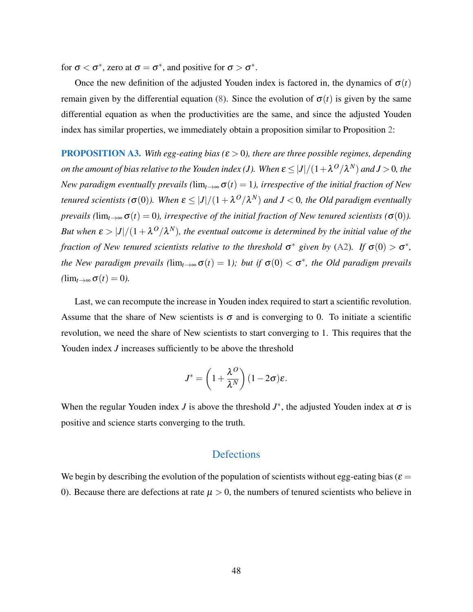for  $\sigma < \sigma^*$ , zero at  $\sigma = \sigma^*$ , and positive for  $\sigma > \sigma^*$ .

Once the new definition of the adjusted Youden index is factored in, the dynamics of  $\sigma(t)$ remain given by the differential equation [\(8\)](#page-16-0). Since the evolution of  $\sigma(t)$  is given by the same differential equation as when the productivities are the same, and since the adjusted Youden index has similar properties, we immediately obtain a proposition similar to Proposition [2:](#page-16-1)

**PROPOSITION A3.** With egg-eating bias ( $\varepsilon > 0$ ), there are three possible regimes, depending  $\rho$ n the amount of bias relative to the Youden index (J). When  $\varepsilon \leq |J|/(1+\lambda^O/\lambda^N)$  and  $J>0$ , the *New paradigm eventually prevails (*lim<sub>*t*→∞</sub> $\sigma(t) = 1$ *), irrespective of the initial fraction of New tenured scientists* ( $\sigma(0)$ ). When  $\varepsilon \leq |J|/(1+\lambda^O/\lambda^N)$  and  $J < 0$ , the Old paradigm eventually *prevails (*lim<sub>*t*→∞</sub> $\sigma(t) = 0$ *), irrespective of the initial fraction of New tenured scientists (* $\sigma(0)$ *).* But when  $\varepsilon > |J|/(1 + \lambda^O/\lambda^N)$ , the eventual outcome is determined by the initial value of the *fraction of New tenured scientists relative to the threshold*  $\sigma^*$  given by [\(A2\)](#page-48-0). If  $\sigma(0) > \sigma^*$ , *the New paradigm prevails*  $(\lim_{t\to\infty} \sigma(t) = 1)$ ; *but if*  $\sigma(0) < \sigma^*$ , *the Old paradigm prevails*  $(\lim_{t\to\infty}\sigma(t)=0).$ 

Last, we can recompute the increase in Youden index required to start a scientific revolution. Assume that the share of New scientists is  $\sigma$  and is converging to 0. To initiate a scientific revolution, we need the share of New scientists to start converging to 1. This requires that the Youden index *J* increases sufficiently to be above the threshold

$$
J^* = \left(1 + \frac{\lambda^O}{\lambda^N}\right)(1 - 2\sigma)\varepsilon.
$$

When the regular Youden index *J* is above the threshold  $J^*$ , the adjusted Youden index at  $\sigma$  is positive and science starts converging to the truth.

#### **Defections**

We begin by describing the evolution of the population of scientists without egg-eating bias ( $\varepsilon$  = 0). Because there are defections at rate  $\mu > 0$ , the numbers of tenured scientists who believe in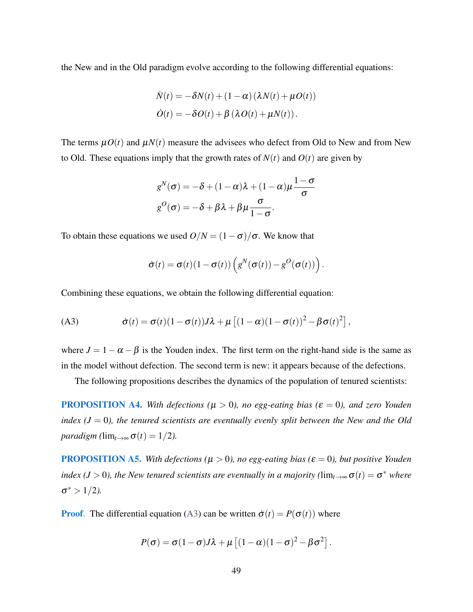the New and in the Old paradigm evolve according to the following differential equations:

$$
\dot{N}(t) = -\delta N(t) + (1 - \alpha) (\lambda N(t) + \mu O(t))
$$
  

$$
\dot{O}(t) = -\delta O(t) + \beta (\lambda O(t) + \mu N(t)).
$$

The terms  $\mu O(t)$  and  $\mu N(t)$  measure the advisees who defect from Old to New and from New to Old. These equations imply that the growth rates of  $N(t)$  and  $O(t)$  are given by

$$
g^{N}(\sigma) = -\delta + (1 - \alpha)\lambda + (1 - \alpha)\mu \frac{1 - \sigma}{\sigma}
$$

$$
g^{O}(\sigma) = -\delta + \beta\lambda + \beta\mu \frac{\sigma}{1 - \sigma}.
$$

To obtain these equations we used  $O/N = (1 - \sigma)/\sigma$ . We know that

<span id="page-50-0"></span>
$$
\dot{\boldsymbol{\sigma}}(t) = \boldsymbol{\sigma}(t)(1-\boldsymbol{\sigma}(t))\left(g^N(\boldsymbol{\sigma}(t)) - g^O(\boldsymbol{\sigma}(t))\right).
$$

Combining these equations, we obtain the following differential equation:

(A3) 
$$
\dot{\sigma}(t) = \sigma(t)(1 - \sigma(t))J\lambda + \mu\left[(1 - \alpha)(1 - \sigma(t))^2 - \beta\sigma(t)^2\right],
$$

where  $J = 1 - \alpha - \beta$  is the Youden index. The first term on the right-hand side is the same as in the model without defection. The second term is new: it appears because of the defections.

The following propositions describes the dynamics of the population of tenured scientists:

**PROPOSITION A4.** With defections ( $\mu > 0$ ), no egg-eating bias ( $\varepsilon = 0$ ), and zero Youden *index (* $J = 0$ *), the tenured scientists are eventually evenly split between the New and the Old paradigm* ( $\lim_{t\to\infty} \sigma(t) = 1/2$ ).

**PROPOSITION A5.** With defections ( $\mu > 0$ ), no egg-eating bias ( $\varepsilon = 0$ ), but positive Youden *index (J* > 0), the New tenured scientists are eventually in a majority ( $\lim_{t\to\infty} \sigma(t) = \sigma^*$  where  $\sigma^* > 1/2$ ).

**Proof.** The differential equation [\(A3\)](#page-50-0) can be written  $\dot{\sigma}(t) = P(\sigma(t))$  where

$$
P(\sigma) = \sigma(1-\sigma)J\lambda + \mu\left[(1-\alpha)(1-\sigma)^2 - \beta\sigma^2\right].
$$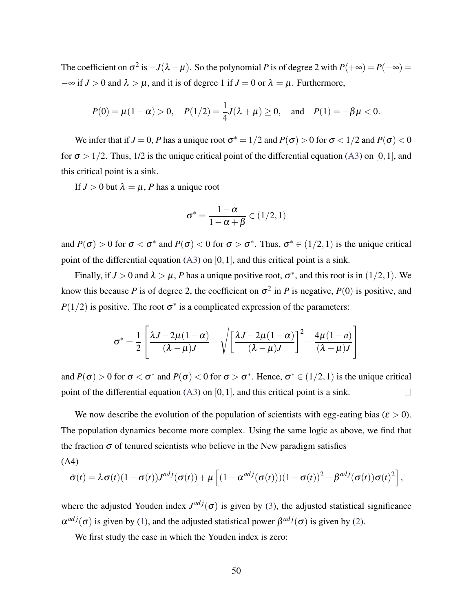The coefficient on  $\sigma^2$  is  $-J(\lambda - \mu)$ . So the polynomial *P* is of degree 2 with  $P(+\infty) = P(-\infty) =$  $-\infty$  if *J* > 0 and  $\lambda > \mu$ , and it is of degree 1 if *J* = 0 or  $\lambda = \mu$ . Furthermore,

$$
P(0) = \mu(1 - \alpha) > 0
$$
,  $P(1/2) = \frac{1}{4}J(\lambda + \mu) \ge 0$ , and  $P(1) = -\beta\mu < 0$ .

We infer that if  $J=0,$   $P$  has a unique root  $\sigma^*=1/2$  and  $P(\sigma)>0$  for  $\sigma<1/2$  and  $P(\sigma)<0$ for  $\sigma > 1/2$ . Thus, 1/2 is the unique critical point of the differential equation [\(A3\)](#page-50-0) on [0, 1], and this critical point is a sink.

If  $J > 0$  but  $\lambda = \mu$ , *P* has a unique root

$$
\sigma^* = \frac{1-\alpha}{1-\alpha+\beta} \in (1/2,1)
$$

and  $P(\sigma) > 0$  for  $\sigma < \sigma^*$  and  $P(\sigma) < 0$  for  $\sigma > \sigma^*$ . Thus,  $\sigma^* \in (1/2, 1)$  is the unique critical point of the differential equation  $(A3)$  on  $[0,1]$ , and this critical point is a sink.

Finally, if  $J > 0$  and  $\lambda > \mu$ , *P* has a unique positive root,  $\sigma^*$ , and this root is in  $(1/2, 1)$ . We know this because *P* is of degree 2, the coefficient on  $\sigma^2$  in *P* is negative, *P*(0) is positive, and  $P(1/2)$  is positive. The root  $\sigma^*$  is a complicated expression of the parameters:

$$
\sigma^* = \frac{1}{2} \left[ \frac{\lambda J - 2\mu (1 - \alpha)}{(\lambda - \mu)J} + \sqrt{\left[ \frac{\lambda J - 2\mu (1 - \alpha)}{(\lambda - \mu)J} \right]^2 - \frac{4\mu (1 - a)}{(\lambda - \mu)J} } \right]
$$

and  $P(\sigma) > 0$  for  $\sigma < \sigma^*$  and  $P(\sigma) < 0$  for  $\sigma > \sigma^*$ . Hence,  $\sigma^* \in (1/2, 1)$  is the unique critical point of the differential equation  $(A3)$  on  $[0,1]$ , and this critical point is a sink.  $\Box$ 

We now describe the evolution of the population of scientists with egg-eating bias ( $\varepsilon > 0$ ). The population dynamics become more complex. Using the same logic as above, we find that the fraction  $\sigma$  of tenured scientists who believe in the New paradigm satisfies

(A4)

<span id="page-51-0"></span>
$$
\dot{\sigma}(t) = \lambda \sigma(t) (1 - \sigma(t)) J^{adj}(\sigma(t)) + \mu \left[ (1 - \alpha^{adj}(\sigma(t)))(1 - \sigma(t))^2 - \beta^{adj}(\sigma(t))\sigma(t)^2 \right],
$$

where the adjusted Youden index  $J^{adj}(\sigma)$  is given by [\(3\)](#page-12-0), the adjusted statistical significance  $\alpha^{adj}(\sigma)$  is given by [\(1\)](#page-11-0), and the adjusted statistical power  $\beta^{adj}(\sigma)$  is given by [\(2\)](#page-11-1).

We first study the case in which the Youden index is zero: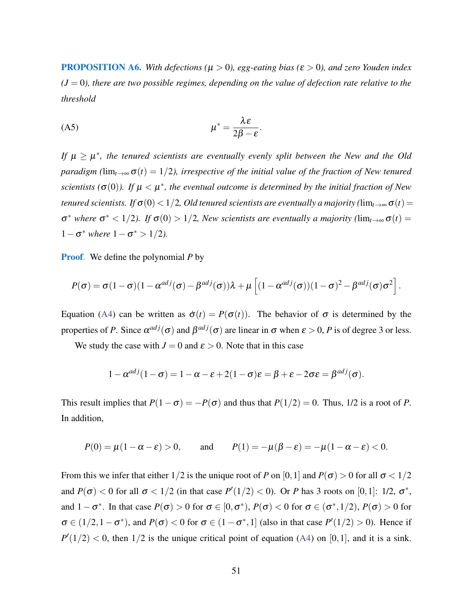<span id="page-52-1"></span>**PROPOSITION A6.** With defections ( $\mu > 0$ ), egg-eating bias ( $\epsilon > 0$ ), and zero Youden index  $(J = 0)$ , there are two possible regimes, depending on the value of defection rate relative to the *threshold*

<span id="page-52-0"></span>
$$
\mu^* = \frac{\lambda \varepsilon}{2\beta - \varepsilon}.
$$

If  $\mu \geq \mu^*$ , the tenured scientists are eventually evenly split between the New and the Old *paradigm (* $\lim_{t\to\infty} \sigma(t) = 1/2$ ), irrespective of the initial value of the fraction of New tenured scientists  $(\sigma(0))$ . If  $\mu < \mu^*$ , the eventual outcome is determined by the initial fraction of New *tenured scientists. If*  $\sigma(0) < 1/2$ , *Old tenured scientists are eventually a majority* ( $\lim_{t\to\infty} \sigma(t)$ )  $σ^*$  where  $σ^* < 1/2$ ). If  $σ(0) > 1/2$ , New scientists are eventually a majority (lim<sub>t→∞</sub>  $σ(t)$  =  $1 - σ^*$  *where*  $1 - σ^* > 1/2$ *).* 

Proof. We define the polynomial *P* by

$$
P(\sigma) = \sigma (1 - \sigma) (1 - \alpha^{adj}(\sigma) - \beta^{adj}(\sigma)) \lambda + \mu \left[ (1 - \alpha^{adj}(\sigma)) (1 - \sigma)^2 - \beta^{adj}(\sigma) \sigma^2 \right].
$$

Equation [\(A4\)](#page-51-0) can be written as  $\dot{\sigma}(t) = P(\sigma(t))$ . The behavior of  $\sigma$  is determined by the properties of *P*. Since  $\alpha^{adj}(\sigma)$  and  $\beta^{adj}(\sigma)$  are linear in  $\sigma$  when  $\varepsilon > 0$ , *P* is of degree 3 or less.

We study the case with  $J = 0$  and  $\varepsilon > 0$ . Note that in this case

$$
1 - \alpha^{adj}(1 - \sigma) = 1 - \alpha - \varepsilon + 2(1 - \sigma)\varepsilon = \beta + \varepsilon - 2\sigma\varepsilon = \beta^{adj}(\sigma).
$$

This result implies that  $P(1-\sigma) = -P(\sigma)$  and thus that  $P(1/2) = 0$ . Thus, 1/2 is a root of *P*. In addition,

$$
P(0) = \mu(1 - \alpha - \varepsilon) > 0
$$
, and  $P(1) = -\mu(\beta - \varepsilon) = -\mu(1 - \alpha - \varepsilon) < 0$ .

From this we infer that either  $1/2$  is the unique root of *P* on [0, 1] and  $P(\sigma) > 0$  for all  $\sigma < 1/2$ and  $P(\sigma) < 0$  for all  $\sigma < 1/2$  (in that case  $P'(1/2) < 0$ ). Or *P* has 3 roots on [0,1]: 1/2,  $\sigma^*$ , and  $1 - \sigma^*$ . In that case  $P(\sigma) > 0$  for  $\sigma \in [0, \sigma^*), P(\sigma) < 0$  for  $\sigma \in (\sigma^*, 1/2), P(\sigma) > 0$  for  $\sigma \in (1/2, 1 - \sigma^*)$ , and  $P(\sigma) < 0$  for  $\sigma \in (1 - \sigma^*, 1]$  (also in that case  $P'(1/2) > 0$ ). Hence if  $P'(1/2)$  < 0, then  $1/2$  is the unique critical point of equation [\(A4\)](#page-51-0) on [0,1], and it is a sink.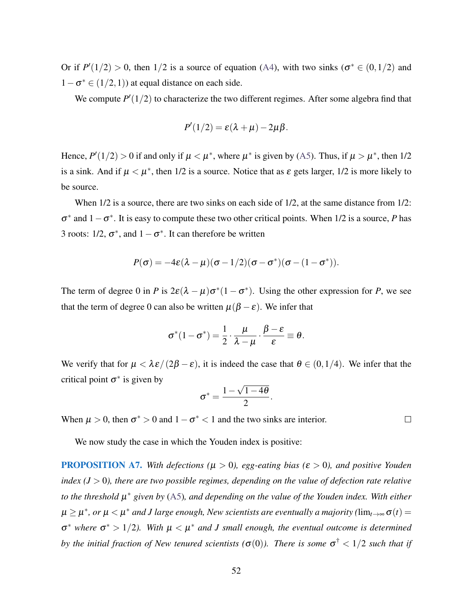Or if  $P'(1/2) > 0$ , then 1/2 is a source of equation [\(A4\)](#page-51-0), with two sinks ( $\sigma^* \in (0, 1/2)$  and  $1 - \sigma^* \in (1/2, 1)$  at equal distance on each side.

We compute  $P'(1/2)$  to characterize the two different regimes. After some algebra find that

$$
P'(1/2) = \varepsilon(\lambda + \mu) - 2\mu\beta.
$$

Hence,  $P'(1/2) > 0$  if and only if  $\mu < \mu^*$ , where  $\mu^*$  is given by [\(A5\)](#page-52-0). Thus, if  $\mu > \mu^*$ , then 1/2 is a sink. And if  $\mu < \mu^*$ , then 1/2 is a source. Notice that as  $\varepsilon$  gets larger, 1/2 is more likely to be source.

When  $1/2$  is a source, there are two sinks on each side of  $1/2$ , at the same distance from  $1/2$ :  $\sigma^*$  and  $1 - \sigma^*$ . It is easy to compute these two other critical points. When 1/2 is a source, *P* has 3 roots:  $1/2$ ,  $\sigma^*$ , and  $1 - \sigma^*$ . It can therefore be written

$$
P(\sigma) = -4\varepsilon(\lambda - \mu)(\sigma - 1/2)(\sigma - \sigma^*)(\sigma - (1 - \sigma^*)).
$$

The term of degree 0 in *P* is  $2\varepsilon(\lambda - \mu)\sigma^*(1 - \sigma^*)$ . Using the other expression for *P*, we see that the term of degree 0 can also be written  $\mu(\beta - \varepsilon)$ . We infer that

$$
\sigma^*(1-\sigma^*)=\frac{1}{2}\cdot\frac{\mu}{\lambda-\mu}\cdot\frac{\beta-\varepsilon}{\varepsilon}\equiv\theta.
$$

We verify that for  $\mu < \lambda \varepsilon/(2\beta - \varepsilon)$ , it is indeed the case that  $\theta \in (0, 1/4)$ . We infer that the critical point  $\sigma^*$  is given by

$$
\sigma^* = \frac{1-\sqrt{1-4\theta}}{2}.
$$

When  $\mu > 0$ , then  $\sigma^* > 0$  and  $1 - \sigma^* < 1$  and the two sinks are interior.

We now study the case in which the Youden index is positive:

PROPOSITION A7. *With defections (*µ > 0*), egg-eating bias (*ε > 0*), and positive Youden index (J* > 0*), there are two possible regimes, depending on the value of defection rate relative to the threshold* µ ∗ *given by* [\(A5\)](#page-52-0)*, and depending on the value of the Youden index. With either*  $\mu \geq \mu^*$ , or  $\mu < \mu^*$  and J large enough, New scientists are eventually a majority ( $\lim_{t\to\infty} \sigma(t)$   $=$  $\sigma^*$  where  $\sigma^* > 1/2$ ). With  $\mu < \mu^*$  and *J* small enough, the eventual outcome is determined by the initial fraction of New tenured scientists ( $\sigma(0)$ ). There is some  $\sigma^\dagger < 1/2$  such that if

 $\Box$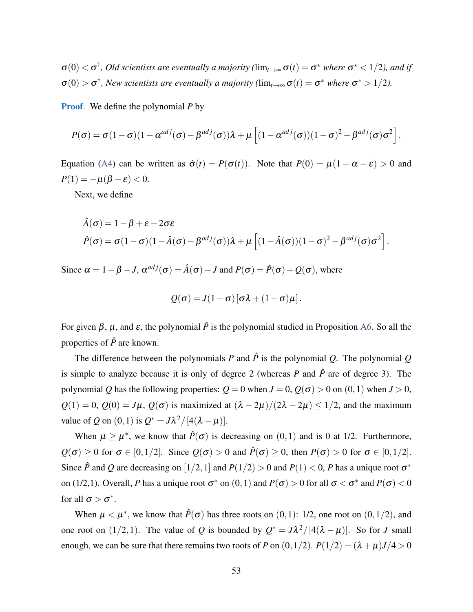$\sigma(0) < \sigma^{\dagger}$ , Old scientists are eventually a majority ( $\lim_{t\to\infty}\sigma(t)=\sigma^{\star}$  where  $\sigma^{\star} < 1/2$ ), and if  $\sigma(0) > \sigma^{\dagger}$ , New scientists are eventually a majority ( $\lim_{t\to\infty} \sigma(t) = \sigma^*$  where  $\sigma^* > 1/2$ ).

Proof. We define the polynomial *P* by

$$
P(\sigma) = \sigma (1 - \sigma) (1 - \alpha^{adj}(\sigma) - \beta^{adj}(\sigma)) \lambda + \mu \left[ (1 - \alpha^{adj}(\sigma)) (1 - \sigma)^2 - \beta^{adj}(\sigma) \sigma^2 \right].
$$

Equation [\(A4\)](#page-51-0) can be written as  $\dot{\sigma}(t) = P(\sigma(t))$ . Note that  $P(0) = \mu(1 - \alpha - \varepsilon) > 0$  and  $P(1) = -\mu(\beta - \varepsilon) < 0.$ 

Next, we define

$$
\hat{A}(\sigma) = 1 - \beta + \varepsilon - 2\sigma\varepsilon
$$
\n
$$
\hat{P}(\sigma) = \sigma(1 - \sigma)(1 - \hat{A}(\sigma) - \beta^{adj}(\sigma))\lambda + \mu\left[(1 - \hat{A}(\sigma))(1 - \sigma)^2 - \beta^{adj}(\sigma)\sigma^2\right].
$$

Since  $\alpha = 1 - \beta - J$ ,  $\alpha^{adj}(\sigma) = \hat{A}(\sigma) - J$  and  $P(\sigma) = \hat{P}(\sigma) + Q(\sigma)$ , where

$$
Q(\sigma) = J(1-\sigma) [\sigma \lambda + (1-\sigma)\mu].
$$

For given  $\beta$ ,  $\mu$ , and  $\varepsilon$ , the polynomial  $\hat{P}$  is the polynomial studied in Proposition [A6.](#page-52-1) So all the properties of  $\hat{P}$  are known.

The difference between the polynomials *P* and  $\hat{P}$  is the polynomial *Q*. The polynomial *Q* is simple to analyze because it is only of degree 2 (whereas  $P$  and  $\hat{P}$  are of degree 3). The polynomial *Q* has the following properties:  $Q = 0$  when  $J = 0$ ,  $Q(\sigma) > 0$  on  $(0, 1)$  when  $J > 0$ ,  $Q(1) = 0$ ,  $Q(0) = J\mu$ ,  $Q(\sigma)$  is maximized at  $(\lambda - 2\mu)/(2\lambda - 2\mu) \le 1/2$ , and the maximum value of *Q* on  $(0,1)$  is  $Q^* = J\lambda^2/[4(\lambda - \mu)]$ .

When  $\mu \ge \mu^*$ , we know that  $\hat{P}(\sigma)$  is decreasing on  $(0,1)$  and is 0 at 1/2. Furthermore,  $Q(\sigma) \ge 0$  for  $\sigma \in [0, 1/2]$ . Since  $Q(\sigma) > 0$  and  $\hat{P}(\sigma) \ge 0$ , then  $P(\sigma) > 0$  for  $\sigma \in [0, 1/2]$ . Since  $\hat{P}$  and  $Q$  are decreasing on  $\left[1/2, 1\right]$  and  $P(1/2) > 0$  and  $P(1) < 0$ ,  $P$  has a unique root  $\sigma^*$ on (1/2,1). Overall, *P* has a unique root  $\sigma^*$  on  $(0,1)$  and  $P(\sigma) > 0$  for all  $\sigma < \sigma^*$  and  $P(\sigma) < 0$ for all  $\sigma > \sigma^*$ .

When  $\mu < \mu^*$ , we know that  $\hat{P}(\sigma)$  has three roots on  $(0,1)$ : 1/2, one root on  $(0,1/2)$ , and one root on  $(1/2, 1)$ . The value of *Q* is bounded by  $Q^* = J\lambda^2/[4(\lambda - \mu)]$ . So for *J* small enough, we can be sure that there remains two roots of *P* on  $(0,1/2)$ .  $P(1/2) = (\lambda + \mu)J/4 > 0$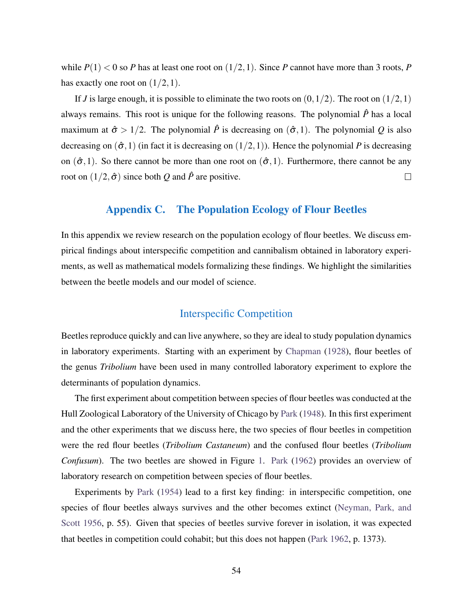while  $P(1) < 0$  so *P* has at least one root on  $(1/2,1)$ . Since *P* cannot have more than 3 roots, *P* has exactly one root on  $(1/2,1)$ .

If *J* is large enough, it is possible to eliminate the two roots on  $(0,1/2)$ . The root on  $(1/2,1)$ always remains. This root is unique for the following reasons. The polynomial  $\hat{P}$  has a local maximum at  $\hat{\sigma} > 1/2$ . The polynomial  $\hat{P}$  is decreasing on  $(\hat{\sigma}, 1)$ . The polynomial Q is also decreasing on  $(\hat{\sigma}, 1)$  (in fact it is decreasing on  $(1/2, 1)$ ). Hence the polynomial *P* is decreasing on  $(\hat{\sigma}, 1)$ . So there cannot be more than one root on  $(\hat{\sigma}, 1)$ . Furthermore, there cannot be any root on  $(1/2, \hat{\sigma})$  since both *Q* and  $\hat{P}$  are positive.  $\Box$ 

## Appendix C. The Population Ecology of Flour Beetles

<span id="page-55-0"></span>In this appendix we review research on the population ecology of flour beetles. We discuss empirical findings about interspecific competition and cannibalism obtained in laboratory experiments, as well as mathematical models formalizing these findings. We highlight the similarities between the beetle models and our model of science.

## Interspecific Competition

Beetles reproduce quickly and can live anywhere, so they are ideal to study population dynamics in laboratory experiments. Starting with an experiment by [Chapman](#page-58-0) [\(1928\)](#page-58-0), flour beetles of the genus *Tribolium* have been used in many controlled laboratory experiment to explore the determinants of population dynamics.

The first experiment about competition between species of flour beetles was conducted at the Hull Zoological Laboratory of the University of Chicago by [Park](#page-59-0) [\(1948\)](#page-59-0). In this first experiment and the other experiments that we discuss here, the two species of flour beetles in competition were the red flour beetles (*Tribolium Castaneum*) and the confused flour beetles (*Tribolium Confusum*). The two beetles are showed in Figure [1.](#page-3-0) [Park](#page-59-1) [\(1962\)](#page-59-1) provides an overview of laboratory research on competition between species of flour beetles.

Experiments by [Park](#page-59-2) [\(1954\)](#page-59-2) lead to a first key finding: in interspecific competition, one species of flour beetles always survives and the other becomes extinct [\(Neyman, Park, and](#page-59-3) [Scott 1956,](#page-59-3) p. 55). Given that species of beetles survive forever in isolation, it was expected that beetles in competition could cohabit; but this does not happen [\(Park 1962,](#page-59-1) p. 1373).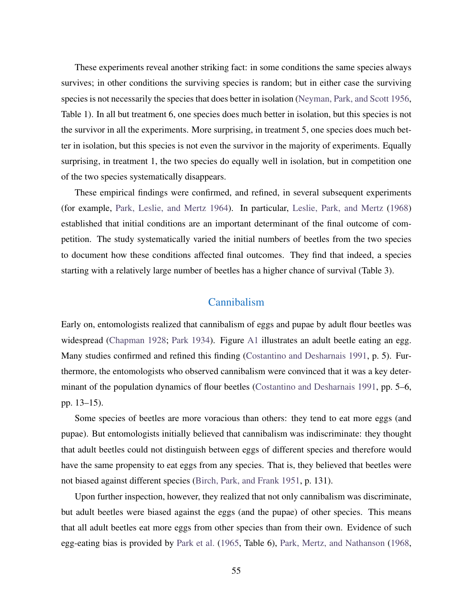These experiments reveal another striking fact: in some conditions the same species always survives; in other conditions the surviving species is random; but in either case the surviving species is not necessarily the species that does better in isolation [\(Neyman, Park, and Scott 1956,](#page-59-3) Table 1). In all but treatment 6, one species does much better in isolation, but this species is not the survivor in all the experiments. More surprising, in treatment 5, one species does much better in isolation, but this species is not even the survivor in the majority of experiments. Equally surprising, in treatment 1, the two species do equally well in isolation, but in competition one of the two species systematically disappears.

These empirical findings were confirmed, and refined, in several subsequent experiments (for example, [Park, Leslie, and Mertz 1964\)](#page-59-4). In particular, [Leslie, Park, and Mertz](#page-59-5) [\(1968\)](#page-59-5) established that initial conditions are an important determinant of the final outcome of competition. The study systematically varied the initial numbers of beetles from the two species to document how these conditions affected final outcomes. They find that indeed, a species starting with a relatively large number of beetles has a higher chance of survival (Table 3).

### Cannibalism

Early on, entomologists realized that cannibalism of eggs and pupae by adult flour beetles was widespread [\(Chapman 1928;](#page-58-0) [Park 1934\)](#page-59-6). Figure [A1](#page-57-0) illustrates an adult beetle eating an egg. Many studies confirmed and refined this finding [\(Costantino and Desharnais 1991,](#page-58-1) p. 5). Furthermore, the entomologists who observed cannibalism were convinced that it was a key determinant of the population dynamics of flour beetles [\(Costantino and Desharnais 1991,](#page-58-1) pp. 5–6, pp. 13–15).

Some species of beetles are more voracious than others: they tend to eat more eggs (and pupae). But entomologists initially believed that cannibalism was indiscriminate: they thought that adult beetles could not distinguish between eggs of different species and therefore would have the same propensity to eat eggs from any species. That is, they believed that beetles were not biased against different species [\(Birch, Park, and Frank 1951,](#page-58-2) p. 131).

Upon further inspection, however, they realized that not only cannibalism was discriminate, but adult beetles were biased against the eggs (and the pupae) of other species. This means that all adult beetles eat more eggs from other species than from their own. Evidence of such egg-eating bias is provided by [Park et al.](#page-59-7) [\(1965,](#page-59-7) Table 6), [Park, Mertz, and Nathanson](#page-59-8) [\(1968,](#page-59-8)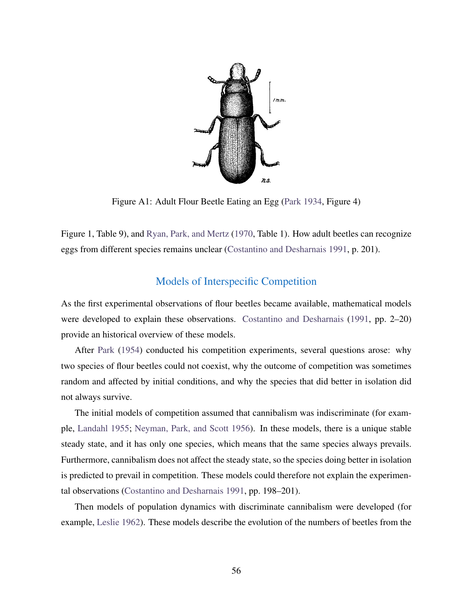

<span id="page-57-0"></span>Figure A1: Adult Flour Beetle Eating an Egg [\(Park 1934,](#page-59-6) Figure 4)

Figure 1, Table 9), and [Ryan, Park, and Mertz](#page-59-9) [\(1970,](#page-59-9) Table 1). How adult beetles can recognize eggs from different species remains unclear [\(Costantino and Desharnais 1991,](#page-58-1) p. 201).

## Models of Interspecific Competition

As the first experimental observations of flour beetles became available, mathematical models were developed to explain these observations. [Costantino and Desharnais](#page-58-1) [\(1991,](#page-58-1) pp. 2–20) provide an historical overview of these models.

After [Park](#page-59-2) [\(1954\)](#page-59-2) conducted his competition experiments, several questions arose: why two species of flour beetles could not coexist, why the outcome of competition was sometimes random and affected by initial conditions, and why the species that did better in isolation did not always survive.

The initial models of competition assumed that cannibalism was indiscriminate (for example, [Landahl 1955;](#page-58-3) [Neyman, Park, and Scott 1956\)](#page-59-3). In these models, there is a unique stable steady state, and it has only one species, which means that the same species always prevails. Furthermore, cannibalism does not affect the steady state, so the species doing better in isolation is predicted to prevail in competition. These models could therefore not explain the experimental observations [\(Costantino and Desharnais 1991,](#page-58-1) pp. 198–201).

Then models of population dynamics with discriminate cannibalism were developed (for example, [Leslie 1962\)](#page-59-10). These models describe the evolution of the numbers of beetles from the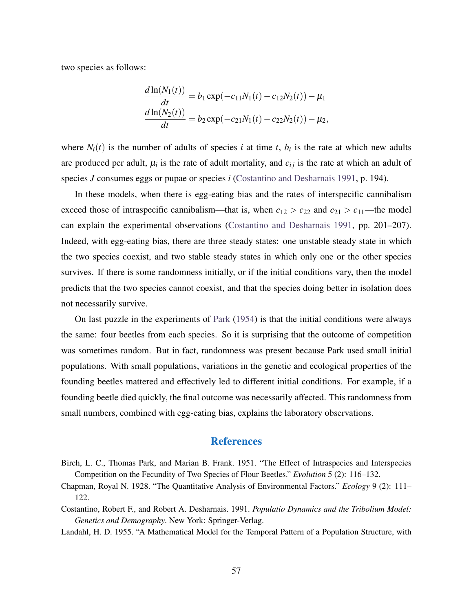two species as follows:

$$
\frac{d\ln(N_1(t))}{dt} = b_1 \exp(-c_{11}N_1(t) - c_{12}N_2(t)) - \mu_1
$$

$$
\frac{d\ln(N_2(t))}{dt} = b_2 \exp(-c_{21}N_1(t) - c_{22}N_2(t)) - \mu_2,
$$

where  $N_i(t)$  is the number of adults of species *i* at time *t*,  $b_i$  is the rate at which new adults are produced per adult,  $\mu_i$  is the rate of adult mortality, and  $c_{ij}$  is the rate at which an adult of species *J* consumes eggs or pupae or species *i* [\(Costantino and Desharnais 1991,](#page-58-1) p. 194).

In these models, when there is egg-eating bias and the rates of interspecific cannibalism exceed those of intraspecific cannibalism—that is, when  $c_{12} > c_{22}$  and  $c_{21} > c_{11}$ —the model can explain the experimental observations [\(Costantino and Desharnais 1991,](#page-58-1) pp. 201–207). Indeed, with egg-eating bias, there are three steady states: one unstable steady state in which the two species coexist, and two stable steady states in which only one or the other species survives. If there is some randomness initially, or if the initial conditions vary, then the model predicts that the two species cannot coexist, and that the species doing better in isolation does not necessarily survive.

On last puzzle in the experiments of [Park](#page-59-2) [\(1954\)](#page-59-2) is that the initial conditions were always the same: four beetles from each species. So it is surprising that the outcome of competition was sometimes random. But in fact, randomness was present because Park used small initial populations. With small populations, variations in the genetic and ecological properties of the founding beetles mattered and effectively led to different initial conditions. For example, if a founding beetle died quickly, the final outcome was necessarily affected. This randomness from small numbers, combined with egg-eating bias, explains the laboratory observations.

#### **References**

- <span id="page-58-2"></span>Birch, L. C., Thomas Park, and Marian B. Frank. 1951. "The Effect of Intraspecies and Interspecies Competition on the Fecundity of Two Species of Flour Beetles." *Evolution* 5 (2): 116–132.
- <span id="page-58-0"></span>Chapman, Royal N. 1928. "The Quantitative Analysis of Environmental Factors." *Ecology* 9 (2): 111– 122.
- <span id="page-58-1"></span>Costantino, Robert F., and Robert A. Desharnais. 1991. *Populatio Dynamics and the Tribolium Model: Genetics and Demography*. New York: Springer-Verlag.

<span id="page-58-3"></span>Landahl, H. D. 1955. "A Mathematical Model for the Temporal Pattern of a Population Structure, with